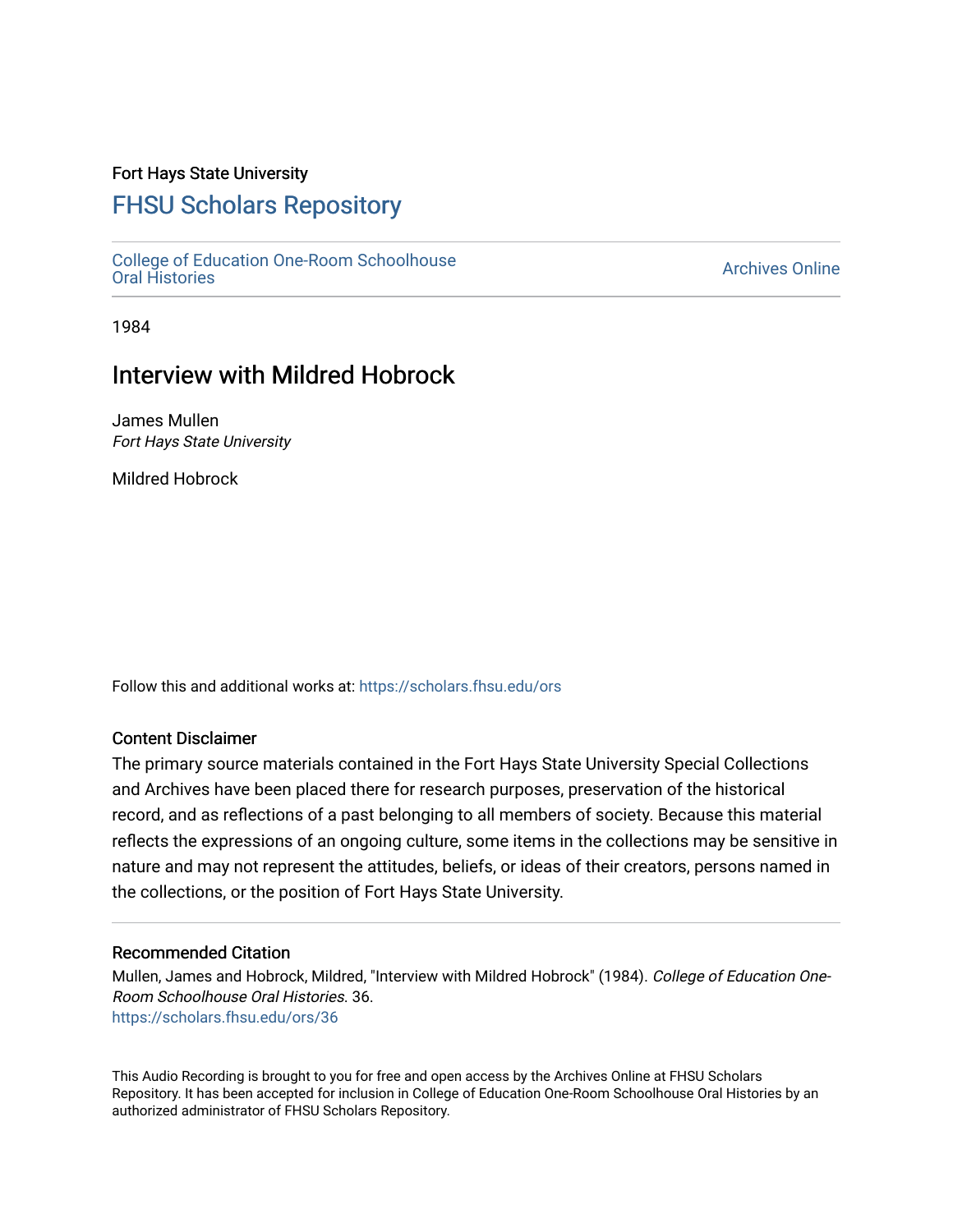## Fort Hays State University

# [FHSU Scholars Repository](https://scholars.fhsu.edu/)

[College of Education One-Room Schoolhouse](https://scholars.fhsu.edu/ors) [Oral Histories](https://scholars.fhsu.edu/ors) [Archives Online](https://scholars.fhsu.edu/archives) 

1984

## Interview with Mildred Hobrock

James Mullen Fort Hays State University

Mildred Hobrock

Follow this and additional works at: [https://scholars.fhsu.edu/ors](https://scholars.fhsu.edu/ors?utm_source=scholars.fhsu.edu%2Fors%2F36&utm_medium=PDF&utm_campaign=PDFCoverPages) 

### Content Disclaimer

The primary source materials contained in the Fort Hays State University Special Collections and Archives have been placed there for research purposes, preservation of the historical record, and as reflections of a past belonging to all members of society. Because this material reflects the expressions of an ongoing culture, some items in the collections may be sensitive in nature and may not represent the attitudes, beliefs, or ideas of their creators, persons named in the collections, or the position of Fort Hays State University.

#### Recommended Citation

Mullen, James and Hobrock, Mildred, "Interview with Mildred Hobrock" (1984). College of Education One-Room Schoolhouse Oral Histories. 36. [https://scholars.fhsu.edu/ors/36](https://scholars.fhsu.edu/ors/36?utm_source=scholars.fhsu.edu%2Fors%2F36&utm_medium=PDF&utm_campaign=PDFCoverPages)

This Audio Recording is brought to you for free and open access by the Archives Online at FHSU Scholars Repository. It has been accepted for inclusion in College of Education One-Room Schoolhouse Oral Histories by an authorized administrator of FHSU Scholars Repository.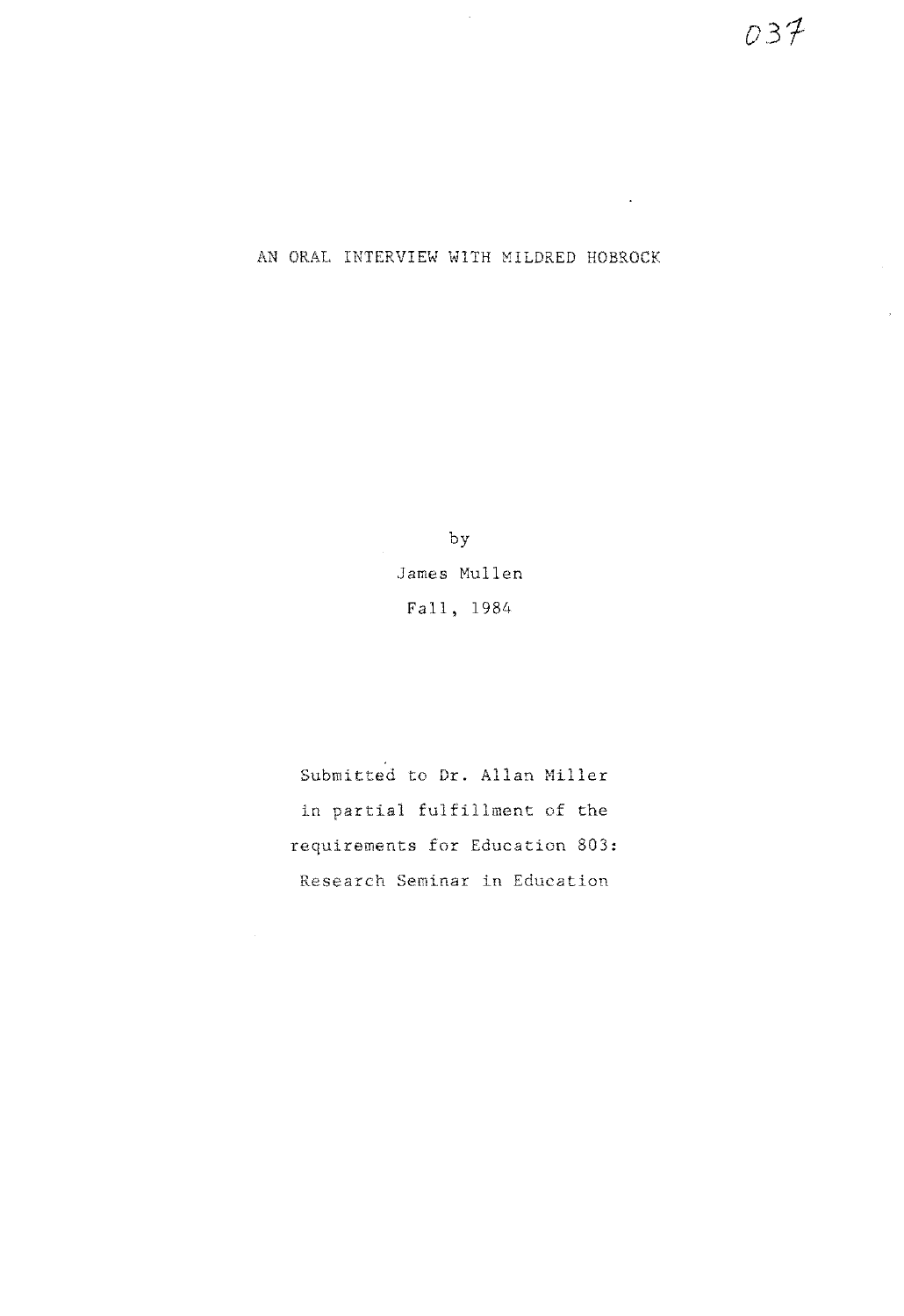$\ddot{\phantom{a}}$ 

## AN ORAL INTERVIEW WITH MILDRED HOBROCK

by .James Mullen Fall, 1984

Submitted to Dr. Allan Miller in partial fulfillment of the requirements for Education 803: Research Seminar in Education

 $\hat{\mathcal{A}}$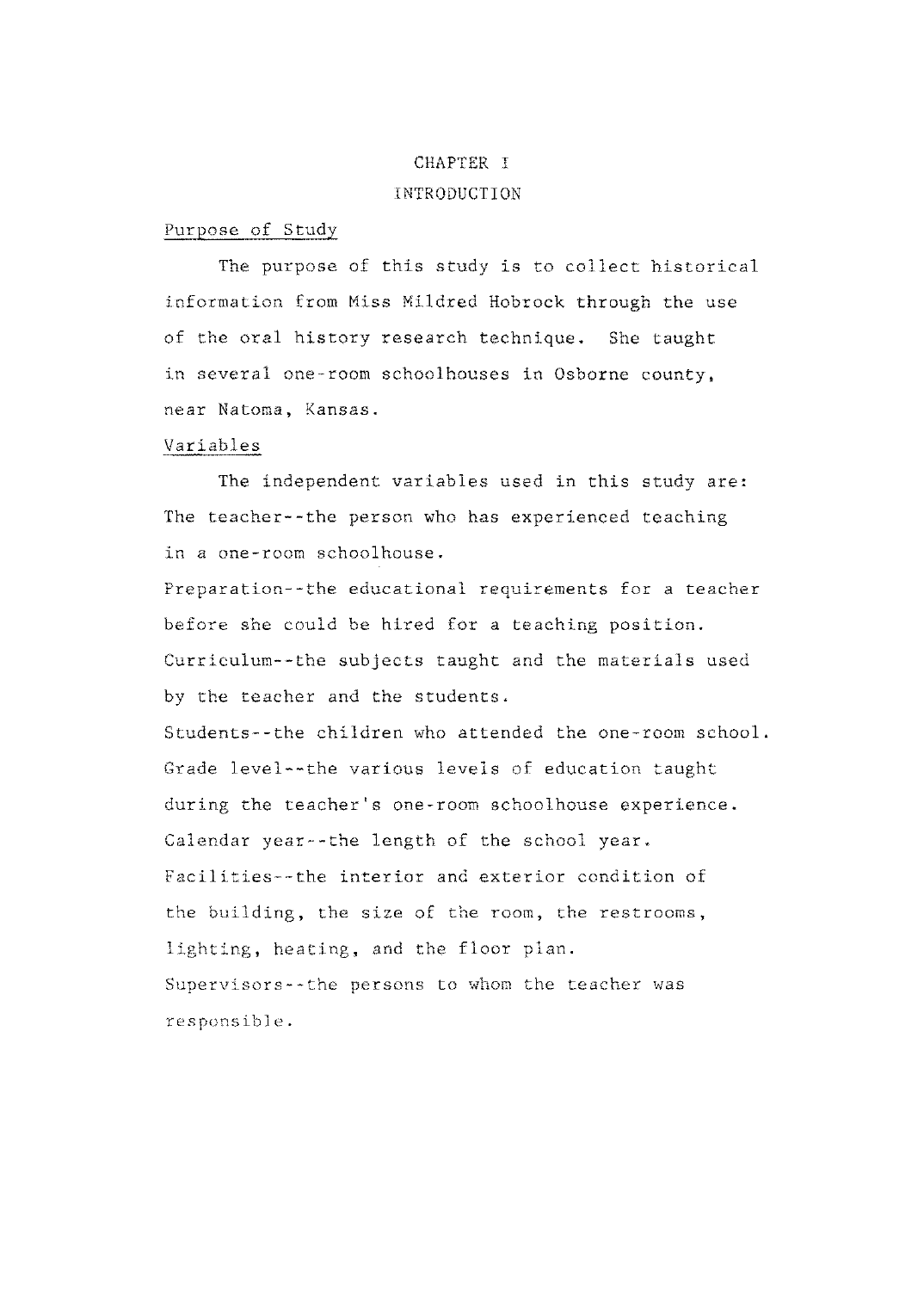# CHAPTER I

### INTRODUCTION

### Purpose of Study

The purpose of this study is to collect historical information from Miss Mildred Hobrock through the use of the oral history research technique. She taught in several one-room schoolhouses in Osborne county, near Natoma, Kansas.

#### Variables

The independent variables used in this study are: The teacher--the person who has experienced teaching in a one-room schoolhouse.

Preparation--the educational requirements for a teacher before she could be hired for a teaching position. Curriculum--the subjects taught and the materials used by the teacher and the students.

Students--the children who attended the one-room school. Grade level--the various levels of education taught during the teacher's one-room schoolhouse experience. Calendar year--the length of the school year. Facilities- the interior and exterior condition of the building, the size of the room, the restrooms, lighting, heating, and the floor plan. Supervisors--the persons to whom the teacher was **responsibJe.**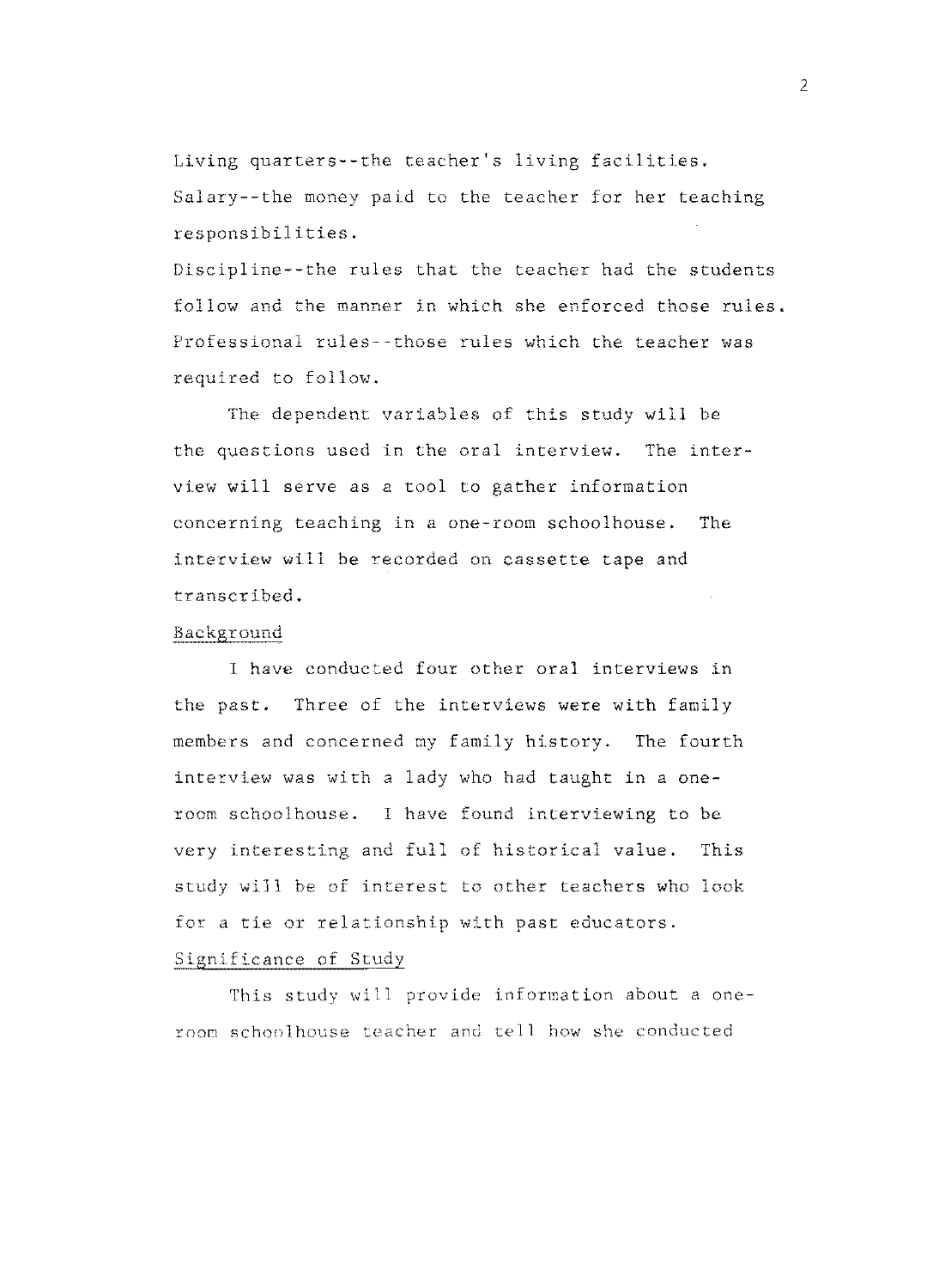Living quarters--the teacher's living facilities. Salary--the money paid to the teacher for her teaching responsibilities.

Discipline--the rules that the teacher had the students follow and the manner in which she enforced those rules. Professional rules--those rules which the teacher was required to follow.

The dependent variables of this study will be the questions used in the oral interview. The interview will serve as a tool to gather information concerning teaching in a one-room schoolhouse. The interview will be recorded on cassette tape and transcribed.

#### Background

I have conducted four other oral interviews in the past. Three of the interviews were with family members and concerned my family history. The fourth interview was with a lady who had taught in a oneroom schoolhouse. I have found interviewing to be very interesting and full of historical value. This study will be of interest to other teachers who look for a tie or relationship with past educators.

#### Significance of Study

This study will provide information about a oneroom schoolhouse teacher and tell how she conducted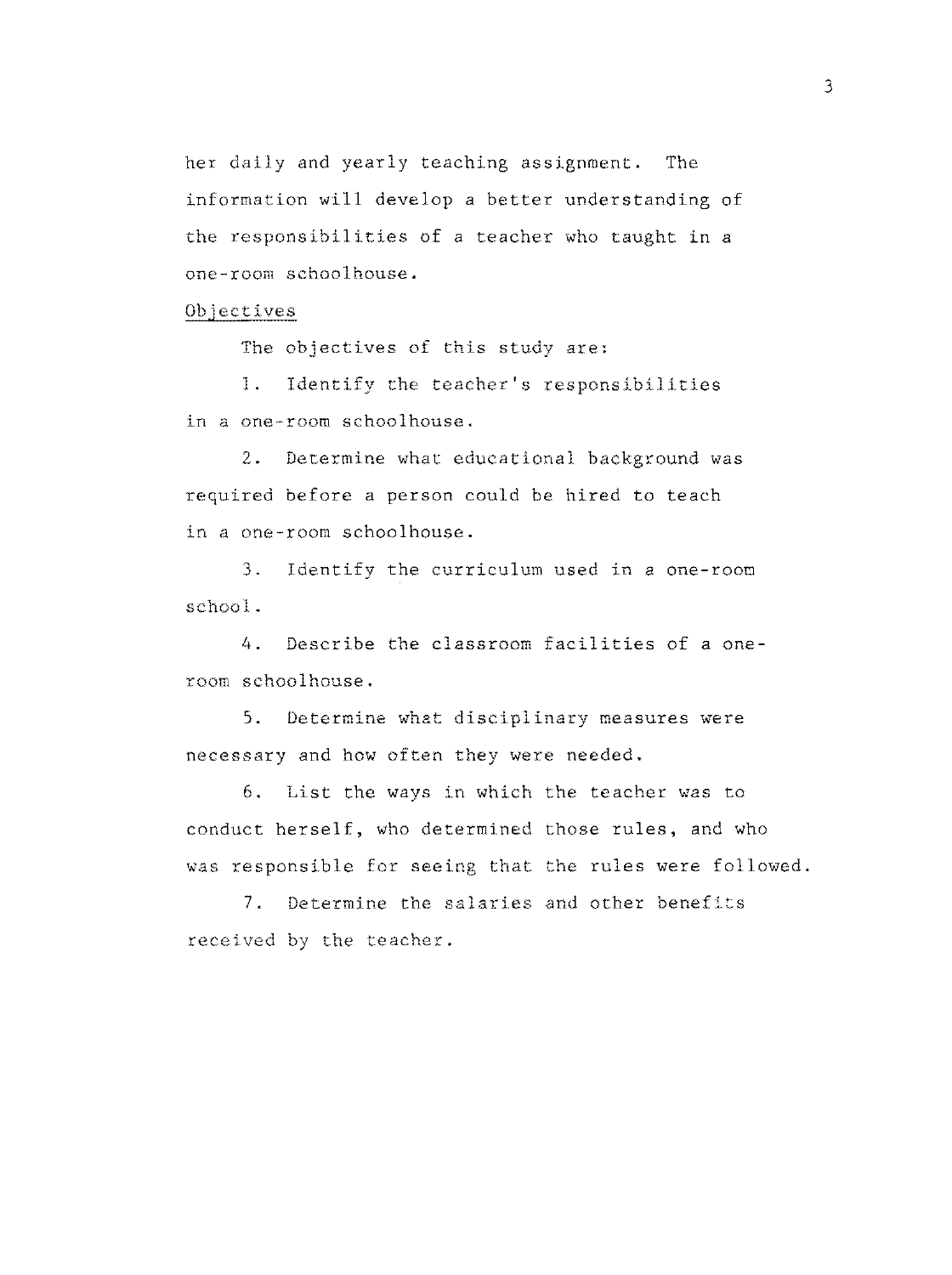her daily and yearly teaching assignment. The information will develop a better understanding of the responsibilities of a teacher who taught in a one-room schoolhouse.

#### Objectives

The objectives of this study are:

1. Identify the teacher's responsibilities in a one-room schoolhouse.

2. Determine what educational background was required before a person could be hired to teach in a one-room schoolhouse.

3. Identify the curriculum used in a one-room school.

4. Describe the classroom facilities of a oneroom schoolhouse.

5. Determine what disciplinary measures were necessary and how often they were needed.

6. List the ways in which the teacher was to conduct herself, who determined those rules, and who was responsible for seeing that the rules were followed.

7. Determine the salaries and other benefits received by the teacher.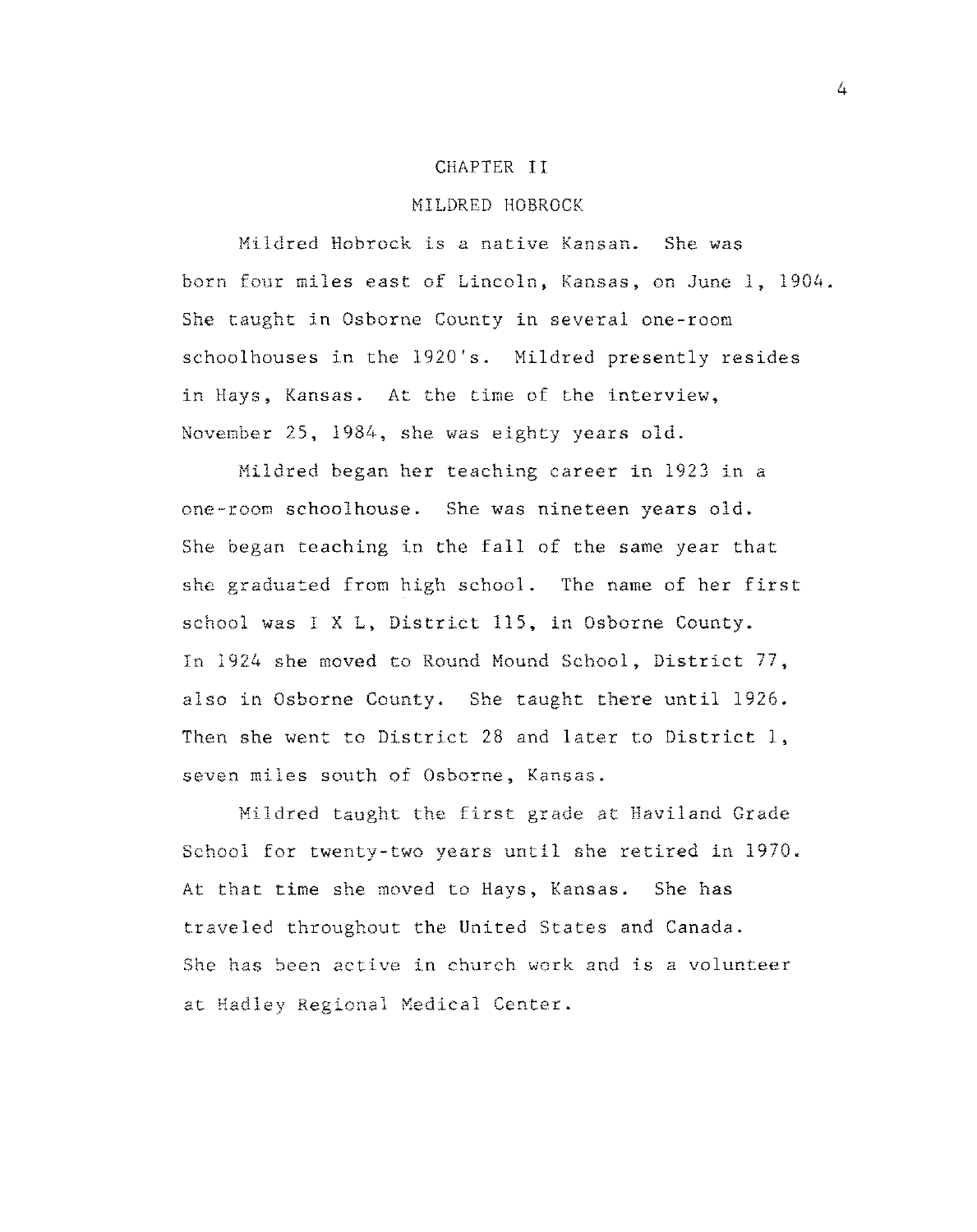#### CHAPTER II

#### MILDRED HOBROCK

Mildred Hobrock is a native Kansan. She was born four miles east of Lincoln, Kansas, on June 1, 1904. She taught in Osborne County in several one-room schoolhouses in the 1920's. Mildred presently resides in Hays, Kansas. At the time of the interview, November 25, 1984, she was eighty years old.

Mildred began her teaching career in 1923 in *a*  one-room schoolhouse. She was nineteen years old. She began teaching in the fall of the same year that she graduated from high school. The name of her first school was IXL, District 115, in Osborne County. In 1924 she moved to Round Mound School, District 77, also in Osborne County. She taught there until 1926. Then she went to District 28 and later to District 1, seven miles south of Osborne, Kansas.

Mildred taught the first grade at Haviland Grade School for twenty-two years until she retired in 1970. At that time she moved to Hays, Kansas. She has traveled throughout the United States and Canada. She has been active in church work and is *a* volunteer at Hadley Regional Medical Center.

 $\Delta$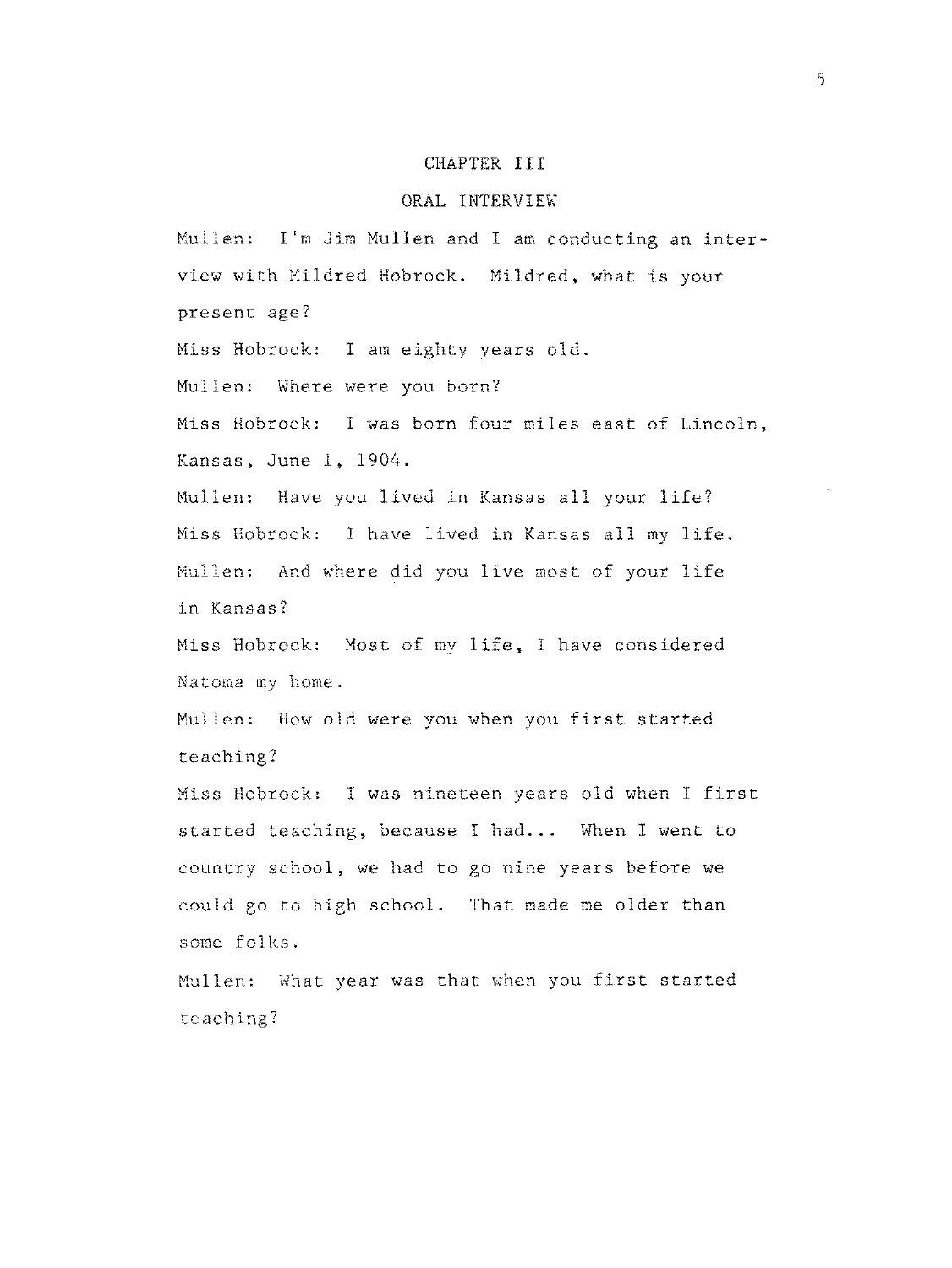#### CHAPTER III

#### ORAL INTERVIEW

Mullen: I'm Jim Mullen and I am conducting an interview with Mildred Hobrock. Mildred, what is your present age? Miss Hobrock: I am eighty years old. Mullen: Where were you born? Miss Habrock: I was born four miles east of Lincoln, Kansas, June l, 1904. Mullen: Have you lived in Kansas all your life? Miss Hobrock: I have lived in Kansas all my life. Mullen: And where did you live most of your life in Kansas? Miss Hobrock: Most of my life, I have considered Natoma my home. Mullen: How old were you when you first started teaching? Miss Habrock: I was nineteen years old when I first started teaching, because I had... When I went to country school, we had to go nine years before we could go to high school. That made me older than some folks. Mullen: What year was that when you first started **teaching?**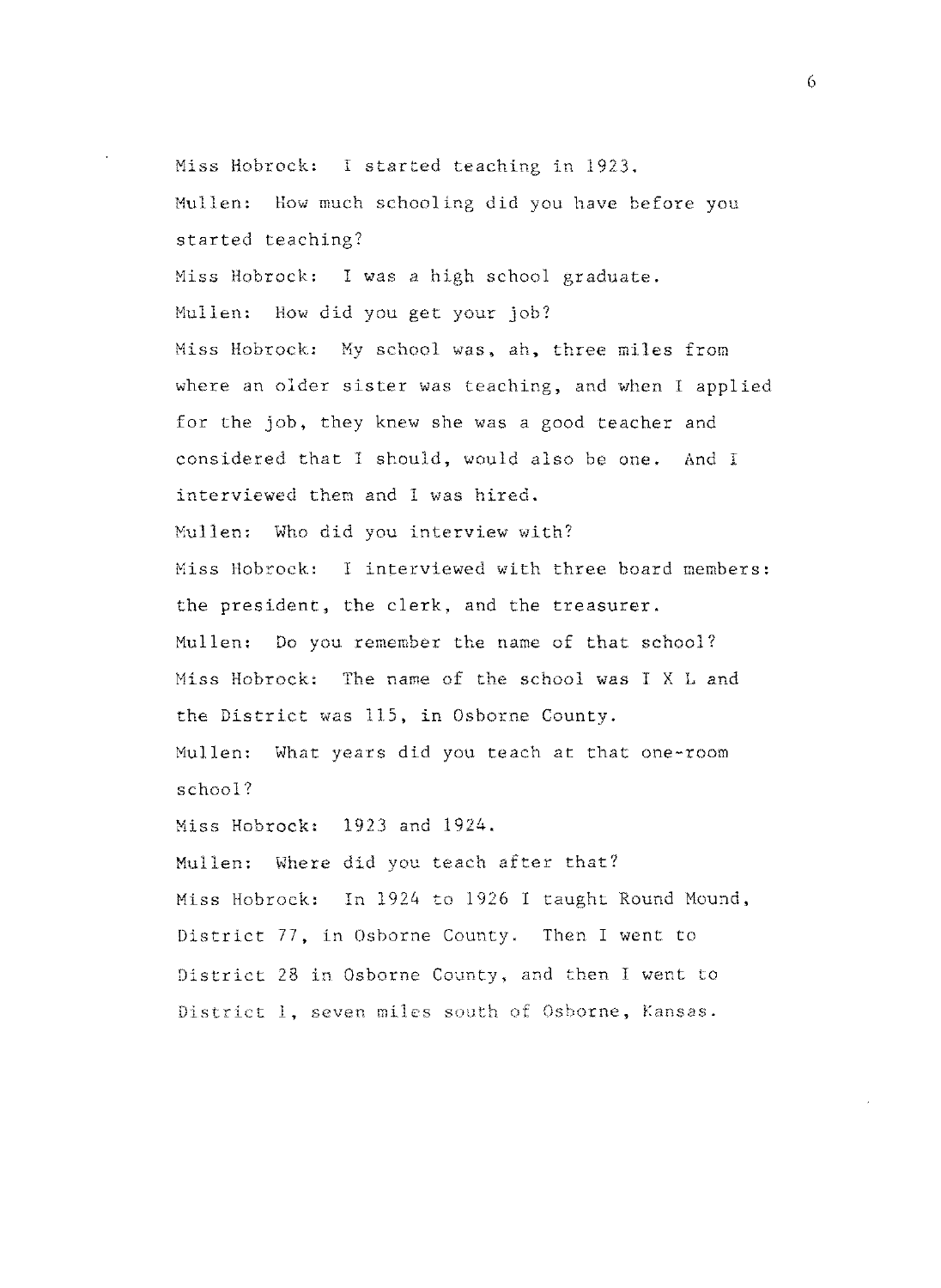Miss Hobrock: I started teaching in 1923. Mullen: How much schooling did you have before you started teaching? Miss Habrock: I was a high school graduate. Mullen: How did you get your job? Miss Hobrock: My school was, ah, three miles from where an older sister was teaching, and when I applied for the job, they knew she was a good teacher and considered that I should, would also be one. And I interviewed them and I was hired. Mullen: Who did you interview with? Miss Hobrock: I interviewed with three board members: the president, the clerk, and the treasurer. Mullen: Do you remember the name of that school? Miss Hobrock: The name of the school was I X L and the District was 115, in Osborne County. Mullen: What years did you teach at that one-room school? Miss Habrock: 1923 and 1924. Mullen: Where did you teach after that? Miss Habrock: In 1924 to 1926 I taught Round Mound, District 77, in Osborne County. Then I went to District 28 in Osborne County, and then I went to District 1, seven miles south of Osborne, Kansas.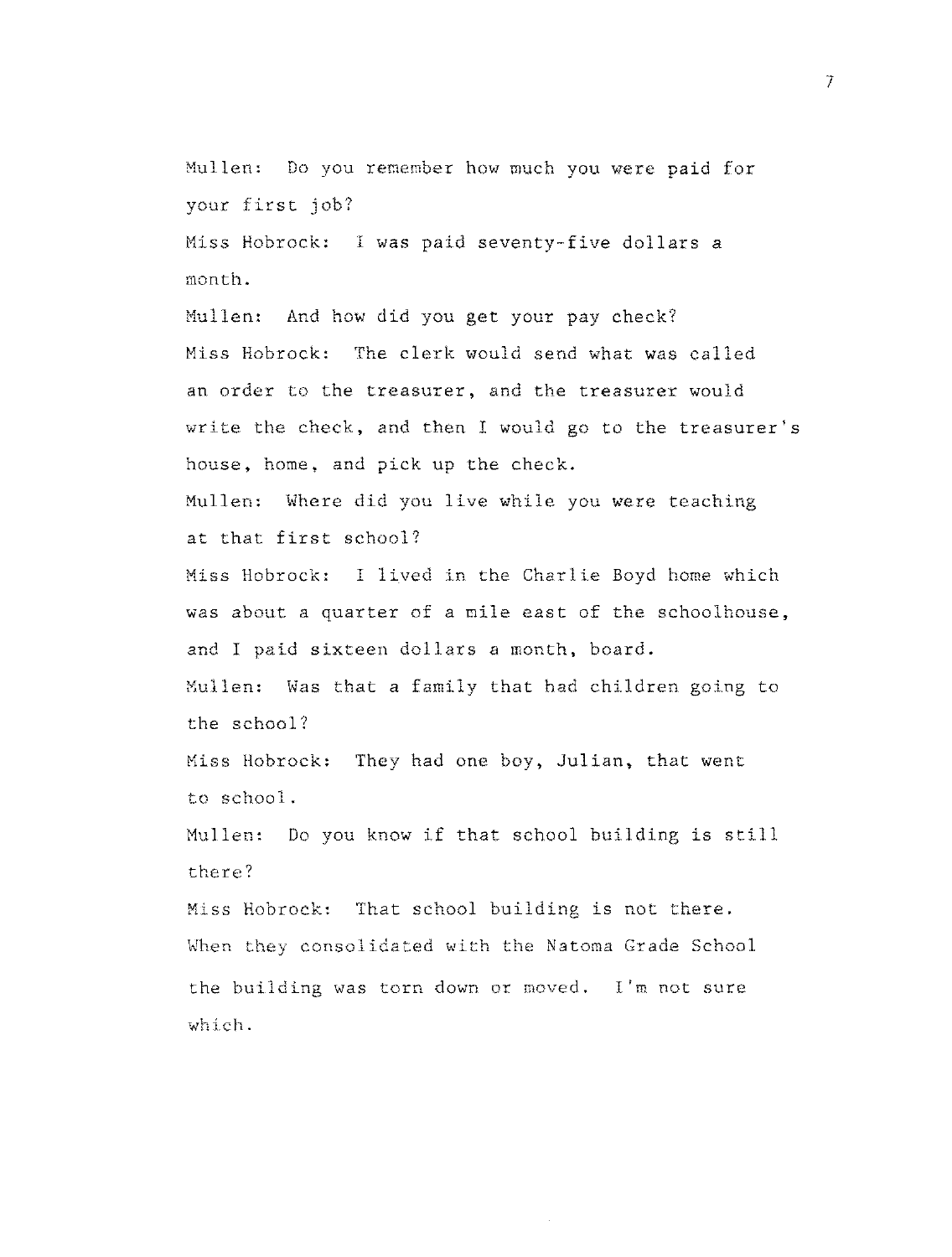Mullen: Do you remember how much you were paid for your first job?

Miss Hobrock: I was paid seventy-five dollars a month.

Mullen: And how did you get your pay check? Miss Hobrock: The clerk would send what was called an order to the treasurer, and the treasurer would write the check, and then I would go to the treasurer's house, home, and pick up the check.

Mullen: Where did you live while you were teaching at that first school?

Miss Hobrock: I lived in the Charlie Boyd home which was about a quarter of a mile east of the schoolhouse, and I paid sixteen dollars a month, board.

Mullen: Was that a family that had children going to the school'/

Miss Hobrock: They had one boy, Julian, that went to school.

Mullen: Do you know if that school building is still there?

Miss Hobrock: That school building is not there. When they consolidated with the Natoma Grade School the building was torn down or moved. I'm not sure which.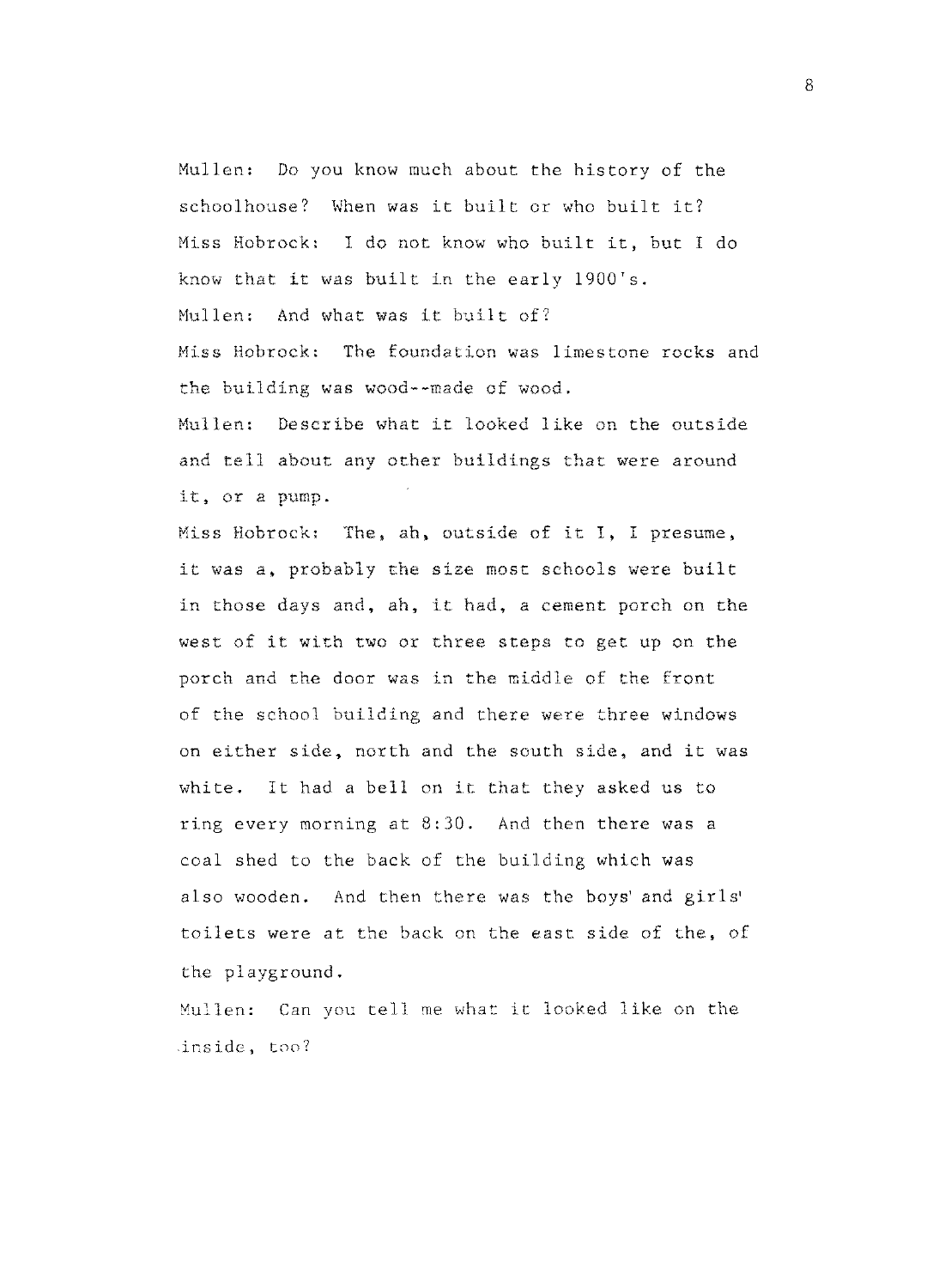Mullen: Do you know much about the history of the schoolhouse? When was it built or who built it? Miss Hobrock: I do not know who built it, but I do know that it was built in the early 1900's. Mullen: And what was it built of? Miss Habrock: The foundation was limestone rocks and the building was wood--made of wood. Mullen: Describe what it looked like on the outside and tell about any other buildings that were around it, or a pump.

Miss Hobrock: The, ah, outside of it I, I presume, it was a, probably the size most schools were built in those days and, ah, it had, a cement porch on the west of it with two or three steps to get up on the porch and the door was in the middle of the front of the school building and there were three windows on either side, north and the south side, and it was white. It had a bell on it that they asked us to ring every morning at  $8:30$ . And then there was a coal shed to the back of the building which was also wooden. And then there was the boys' and girls' toilets were at the back on the east side of the, of the playground.

Mullen: Can you tell me what it looked like on the inside, too?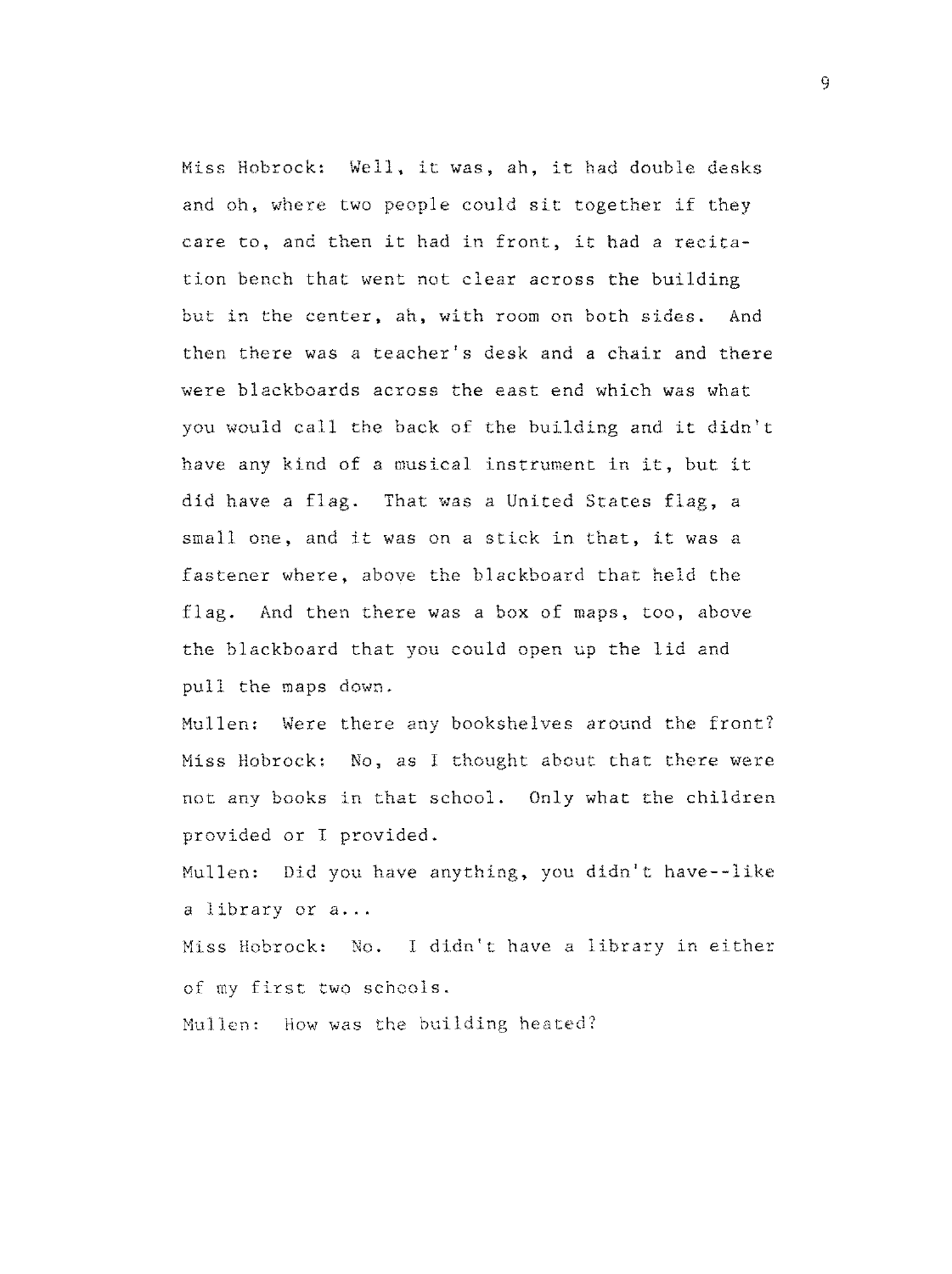Miss Hobrock: Well, it was, ah, it had double desks and oh, where two people could sit together if they care to, and then it had in front, it had a recitation bench that went not clear across the building but in the center, ah, with room on both sides. And then there was a teacher's desk and a chair and there were blackboards across the east end which was what you would call the back of the building and it didn't have any kind of a musical instrument in it, but it did have a flag. That was a United States flag, a small one, and it was on a stick in that, it was a fastener where, above the blackboard that held the flag. And then there was a box of maps, too, above the blackboard that you could open up the lid and pull the maps down.

Mullen: Were there any bookshelves around the front? Miss Habrock: No, as I thought about that there were not any books in that school. Only what the children provided or I provided.

Mullen: Did you have anything, you didn't have--like a library or a...

Miss Habrock: No. I didn't have a library in either of my first two schools.

Mullen: How was the building heated?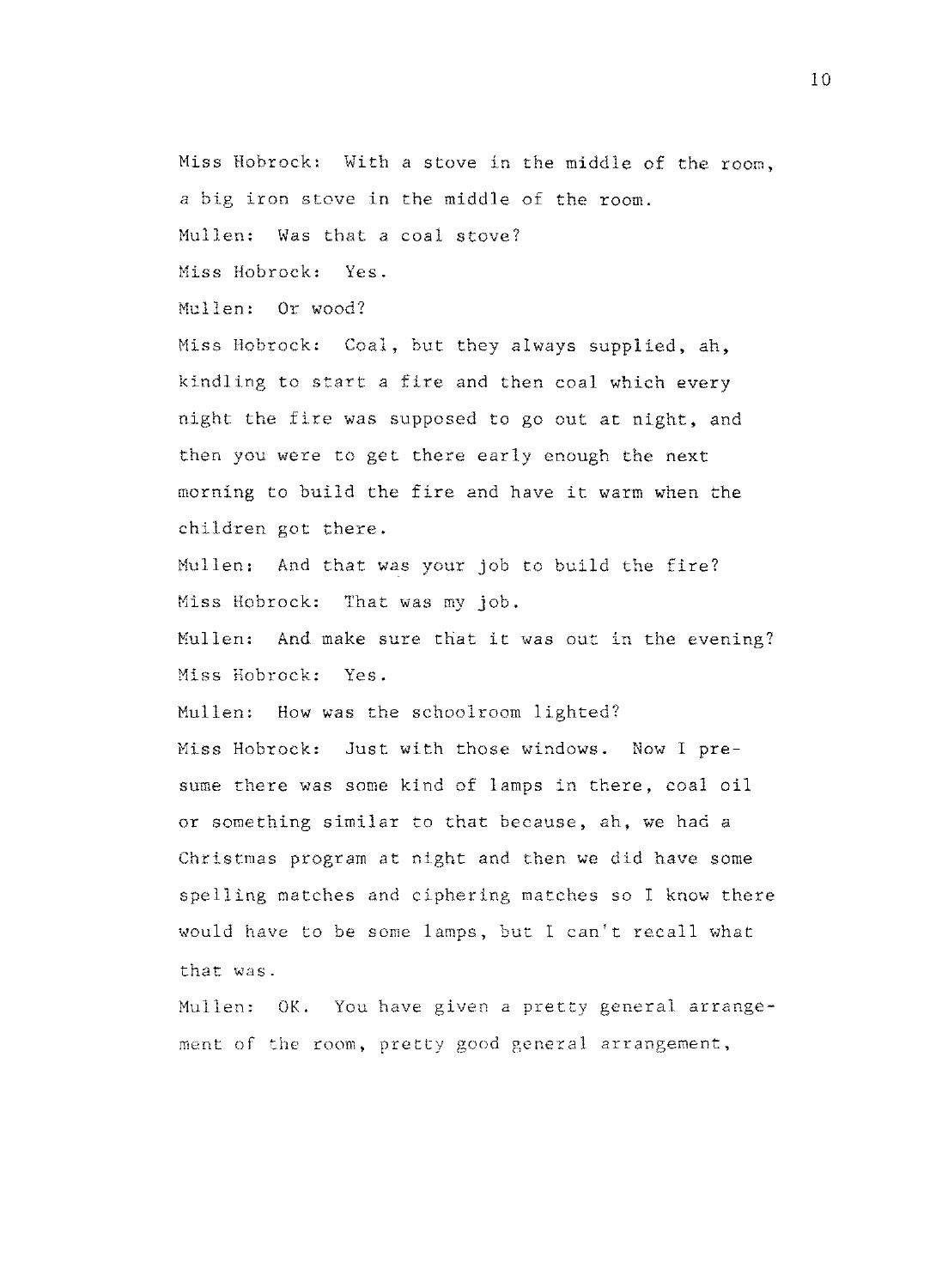Miss Habrock: With a stove in the middle of the room, a big iron stove in the middle of the room. Mullen: Was that a coal stove?

Miss Hobrock: Yes.

Mullen: Or wood?

Miss Habrock: Coal, but they always supplied, ah, kindling to start a fire and then coal which every night the fire was supposed to go out at night, and then you were to get there early enough the next morning to build the fire and have it warm when the children got there.

Mullen: And that was your job to build the fire? Miss Hobrock: That was my job.

Mullen: And make sure that it was out in the evening? Miss Hobrock: Yes.

Mullen: How was the schoolroom lighted? Miss Hobrock: Just with those windows. Now I presume there was some kind of lamps in there, coal oil or something similar to that because, ah, we had a Christmas program at night and then we did have some spelling matches and ciphering matches so I know there would have to be some lamps, but I can't recall what that was.

Mullen: OK. You have given a pretty general arrangement of the room, pretty good general arrangement,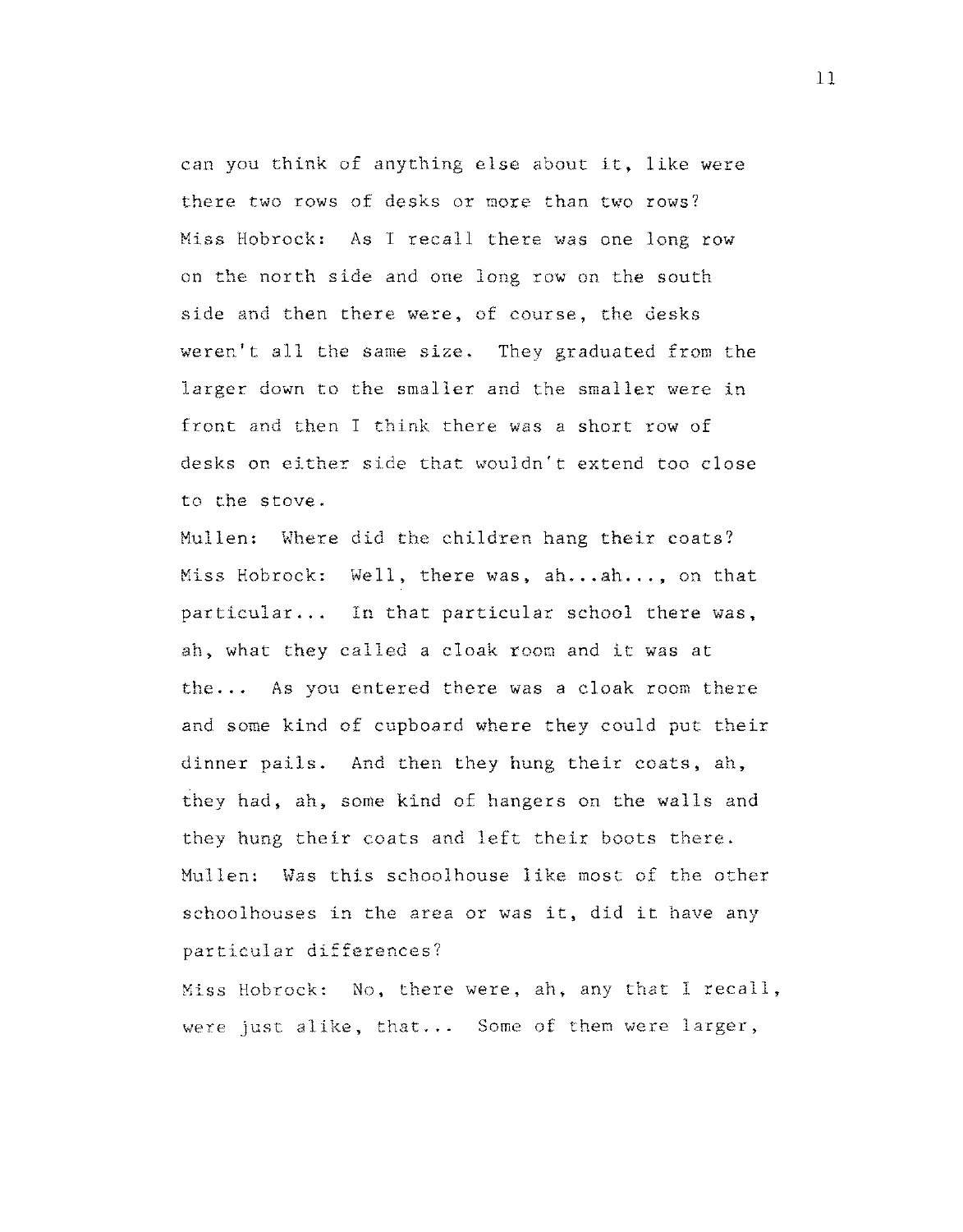can you think of anything else about it, like were there two rows of desks or more than two rows? Miss Hobrock: As I recall there was one long row on the north side and one long row on the south side and then there were, of course, the desks weren't all the same size. They graduated from the larger down to the smaller and the smaller were in front and then I think there was a short row of desks on either side that wouldn't extend too close to the stove.

Mullen: Where did the children hang their coats? Miss Hobrock: Well, there was, ah...ah..., on that particular... In that particular school there was, ah, what they called a cloak room and it was at the ... As you entered there was a cloak room there and some kind of cupboard where they could put their dinner pails. And then they hung their coats, ah, they had, ah, some kind of hangers on the walls and they hung their coats and left their boots there. Mullen: Was this schoolhouse like most of the other schoolhouses in the area or was it, did it have any particular differences?

Miss Habrock: No, there were, ah, any that I recall, were just alike, that... Some of them were larger,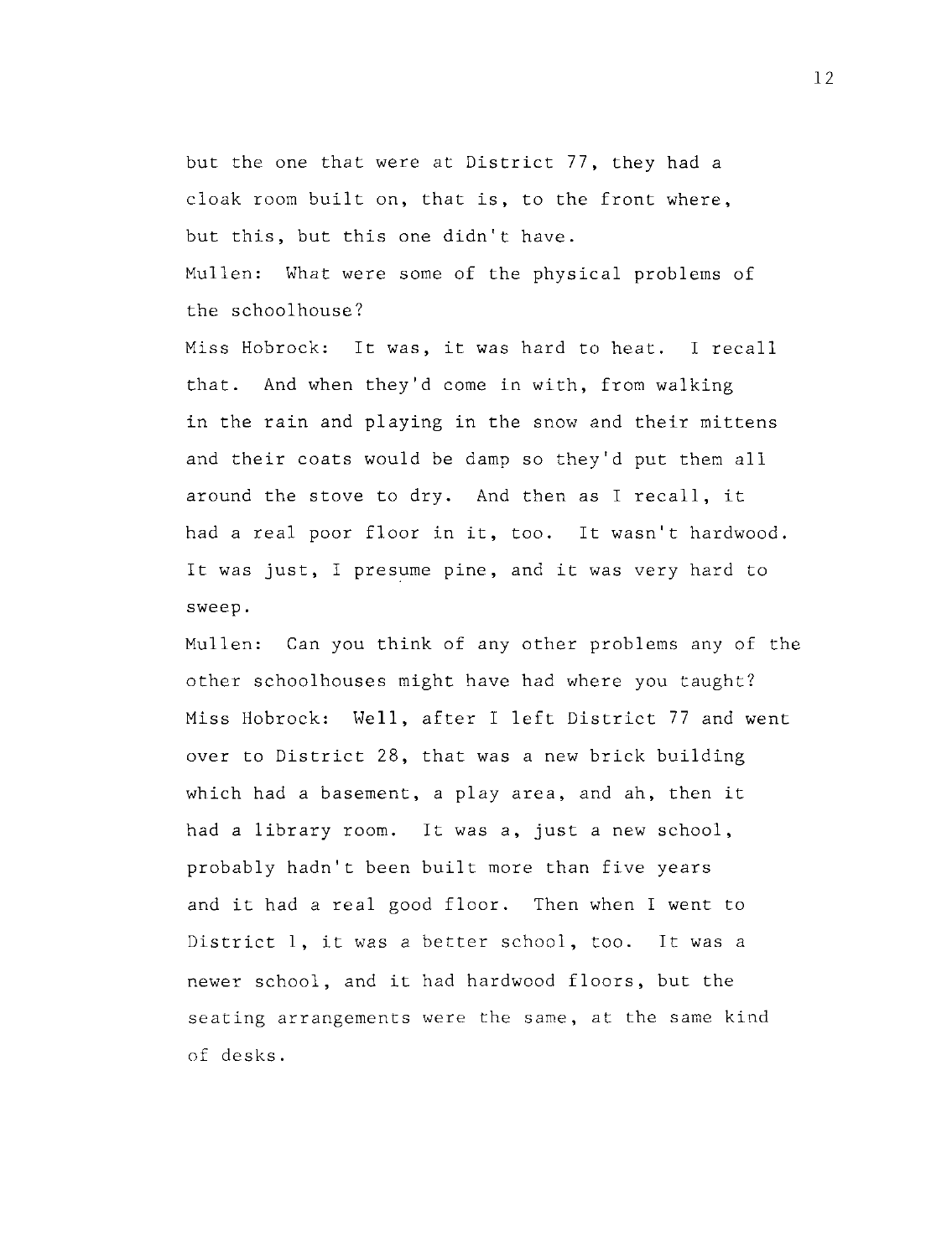but the one that were at District 77, they had a cloak room built on, that is, to the front where, but this, but this one didn't have.

Mullen: What were some of the physical problems of the schoolhouse?

Miss Habrock: It was, it was hard to heat. I recall that. And when they'd come in with, from walking in the rain and playing in the snow and their mittens and their coats would be damp so they'd put them all around the stove to dry. And then as I recall, it had a real poor floor in it, too. It wasn't hardwood. It was just, I presume pine, and it was very hard to sweep.

Mullen: Can you think of any other problems any of the other schoolhouses might have had where you taught? Miss Habrock: **Well,** after I left District 77 and went over to District 28, that was a new brick building which had a basement, a play area, and ah, then it had a library room. It was a, just a new school, probably hadn't been built more than five years and it had a real good floor. Then when I went to District 1, it was a better school, too. It was a newer school, and it had hardwood floors, but the seating arrangements were the same, at the same kind of desks.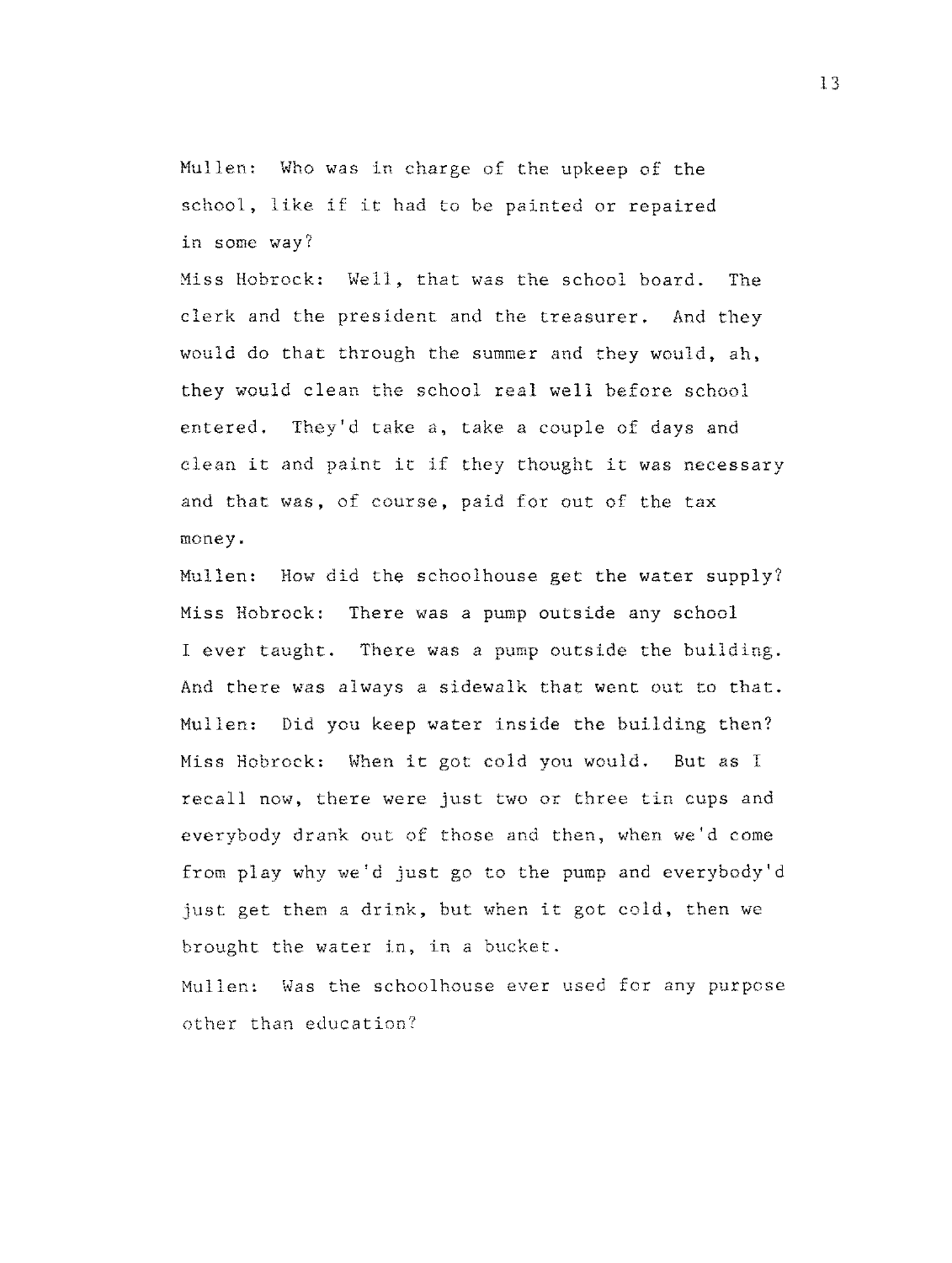Mullen: Who was in charge of the upkeep of the school, like if it had to be painted or repaired in some way?

Miss Hobrock: Well, that was the school board. The clerk and the president and the treasurer. And they would do that through the summer and they would, ah, they would clean the school real well before school entered. They'd take a, take a couple of days and clean it and paint it if they thought it was necessary and that was, of course, paid for out of the tax money.

Mullen: How did the schoolhouse get the water supply? Miss Hobrock: There was *a* pump outside any school I ever taught. There was *a* pump outside the building. And there was always a sidewalk that went out to that. Mullen: Did you keep water inside the building then? Miss Hobrock: When it got cold you would. But as I recall now, there were just two or three tin cups and everybody drank out of those and then, when we'd come from play why we'd just go to the pump and everybody'd just get them a drink, but when it got cold, then we brought the water in, in a bucket.

Mullen: Was the schoolhouse ever used for any purpose other than education?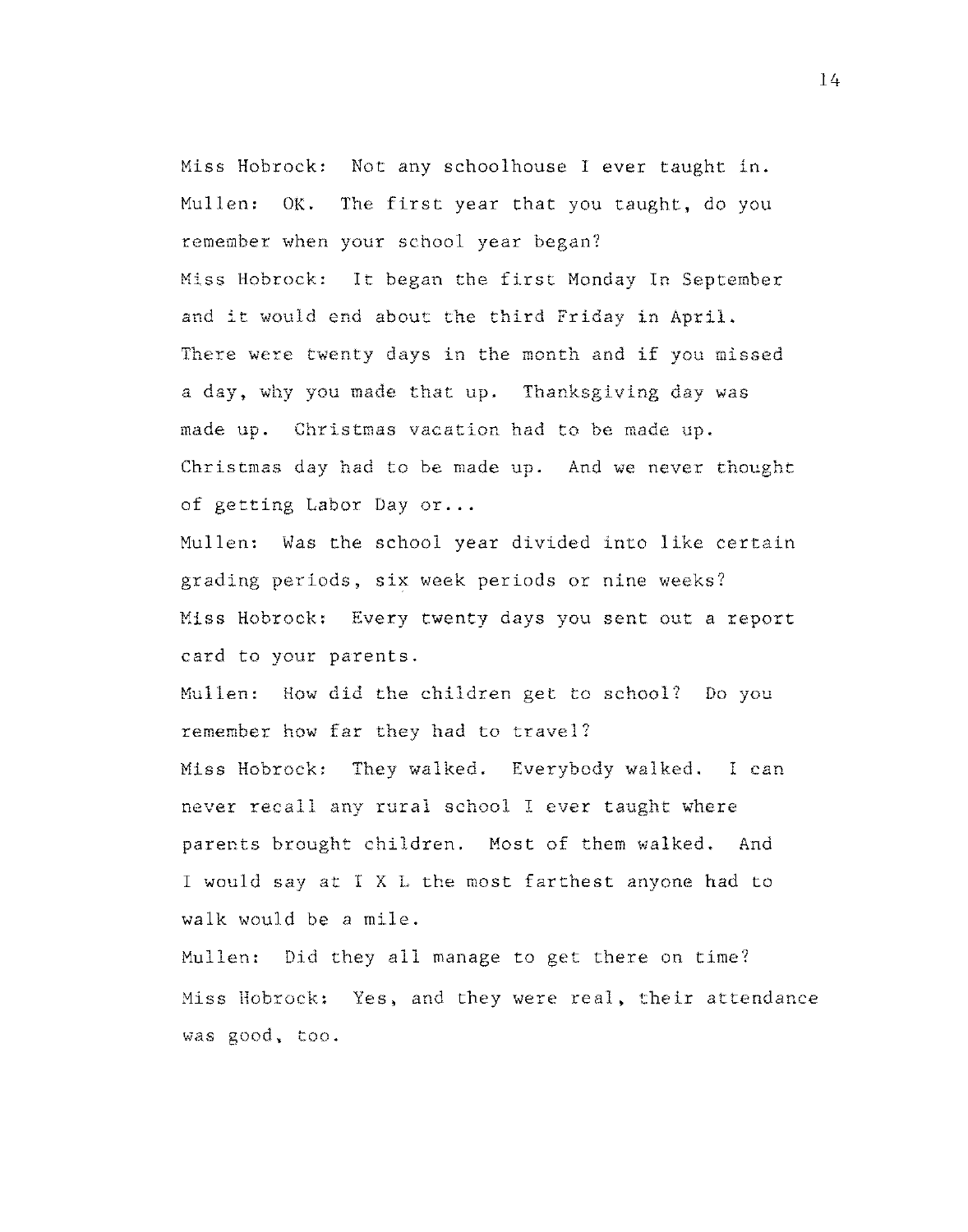Miss Hobrock: Not any schoolhouse I ever taught in. Mullen: OK. The first year that you taught, do you remember when your school year began? Miss Hobrock: It began the first Monday In September and it would end about the third Friday in April. There were twenty days in the month and if you missed a day, why you made that up. Thanksgiving day was made up. Christmas vacation had to be made up. Christmas day had to be made up. And we never thought of getting Labor Day or ...

Mullen: Was the school year divided into like certain grading periods, six week periods or nine weeks? Miss Habrock: Every twenty days you sent out a report card to your parents.

Mullen: How did the children get to school? Do you remember how far they had to travel? Miss Habrock: They walked. Everybody walked. I can never recall any rural school I ever taught where parents brought children. Most of them walked. And I would say *at* IXL the most farthest anyone had to walk would be a mile.

Mullen: Did they all manage to get there on time? Miss Hobrock: Yes, and they were real, their attendance was good, too.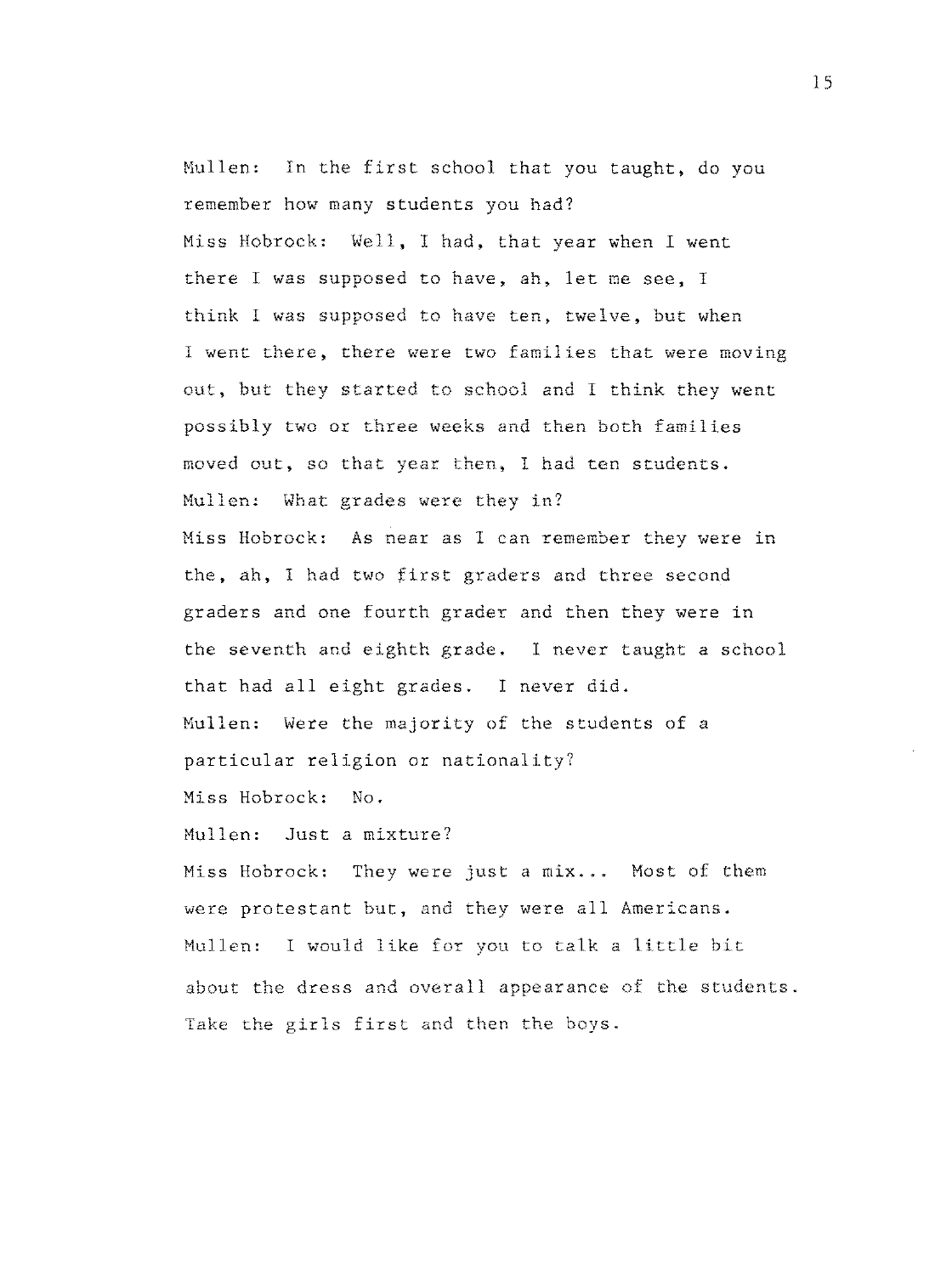Mullen: In the first school that you taught, do you remember how many students you had? Miss Hobrock: Well, I had, that year when I went there I was supposed to have, ah, let me see, I think 1 was supposed to have ten, twelve, but when I went there, there were two families that were moving out, but they started to school and I think they went possibly two or three weeks and then both families moved out, so that year then, I had ten students. Mullen: What grades were they in? Miss Hobrock: As near as I can remember they were in the, ah, I had two first graders and three second graders and one fourth grader and then they were in the seventh and eighth grade. I never taught a school that had all eight grades. I never did. Mullen: Were the majority of the students of a particular religion or nationality? Miss Habrock: No. Mullen: Just a mixture? Miss Hobrock: They were just a mix... Most of them

were protestant but, and they were all Americans. Mullen: I would like for you to talk a little bit about the dress and overall appearance of the students. Take the girls first and then the boys.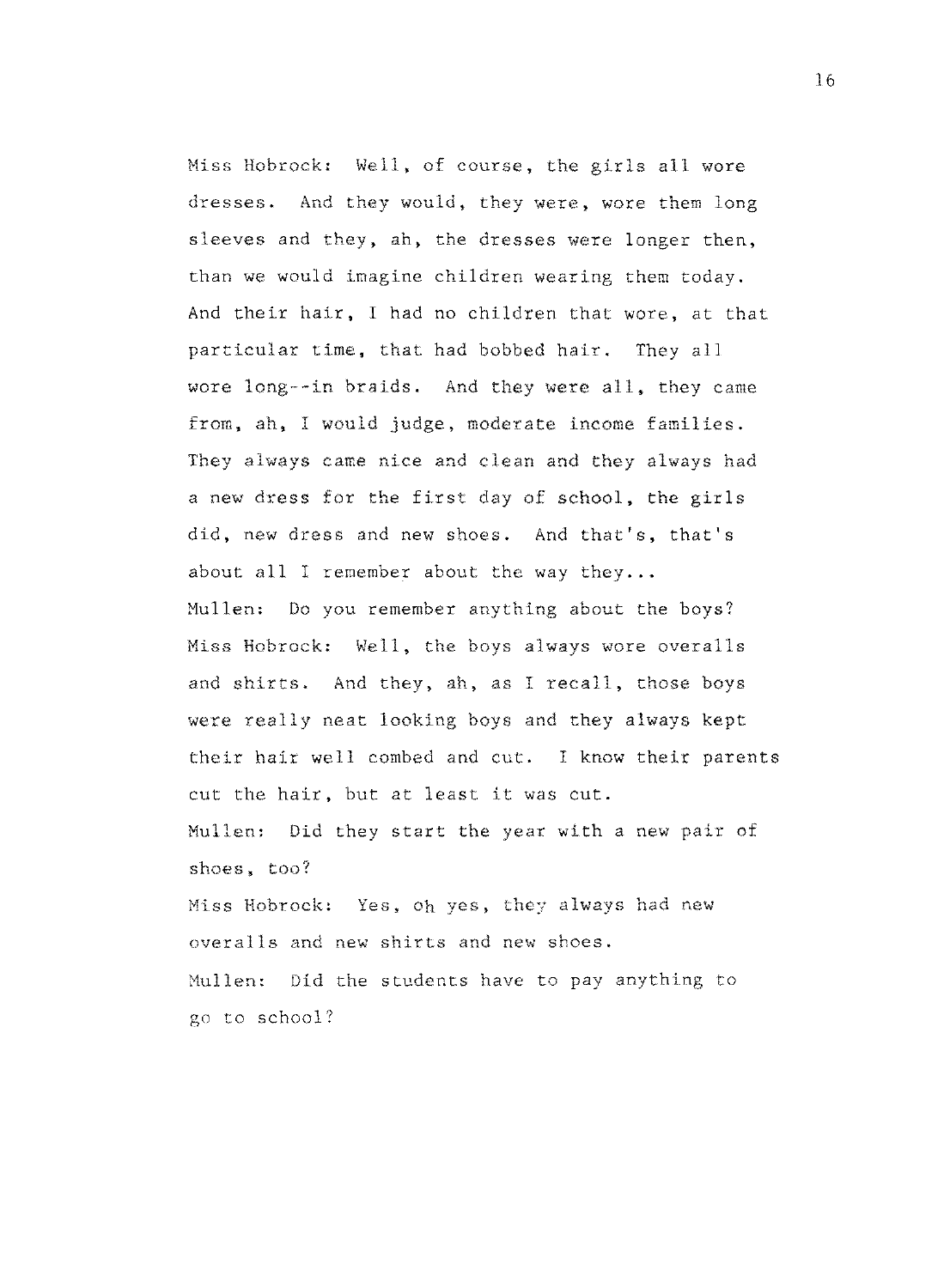Miss Hobrock: Well, of course, the girls all wore dresses. And they would, they were, wore them long sleeves and they, ah, the dresses were longer then, than we would imagine children wearing them today. And their hair, I had no children that wore, at that particular time, that had bobbed hair. They all wore long--in braids. And they were all, they came from, ah, I would judge, moderate income families. They always came nice and clean and they always had a new dress for the first day of school, the girls did, new dress and new shoes. And that's, that's about all I remember about the way they... Mullen: Do you remember anything about the boys? Miss Hobrock: Well, the boys always wore overalls and shirts. And they, ah, as I recall, those boys were really neat looking boys and they always kept their hair well combed and cut. I know their parents cut the hair, but at least it was cut. Mullen: Did they start the year with a new pair of shoes, too? Miss Hobrock: Yes, oh yes, they always had new overalls and new shirts and new shoes. Mullen: Did the students have to pay anything to go to school?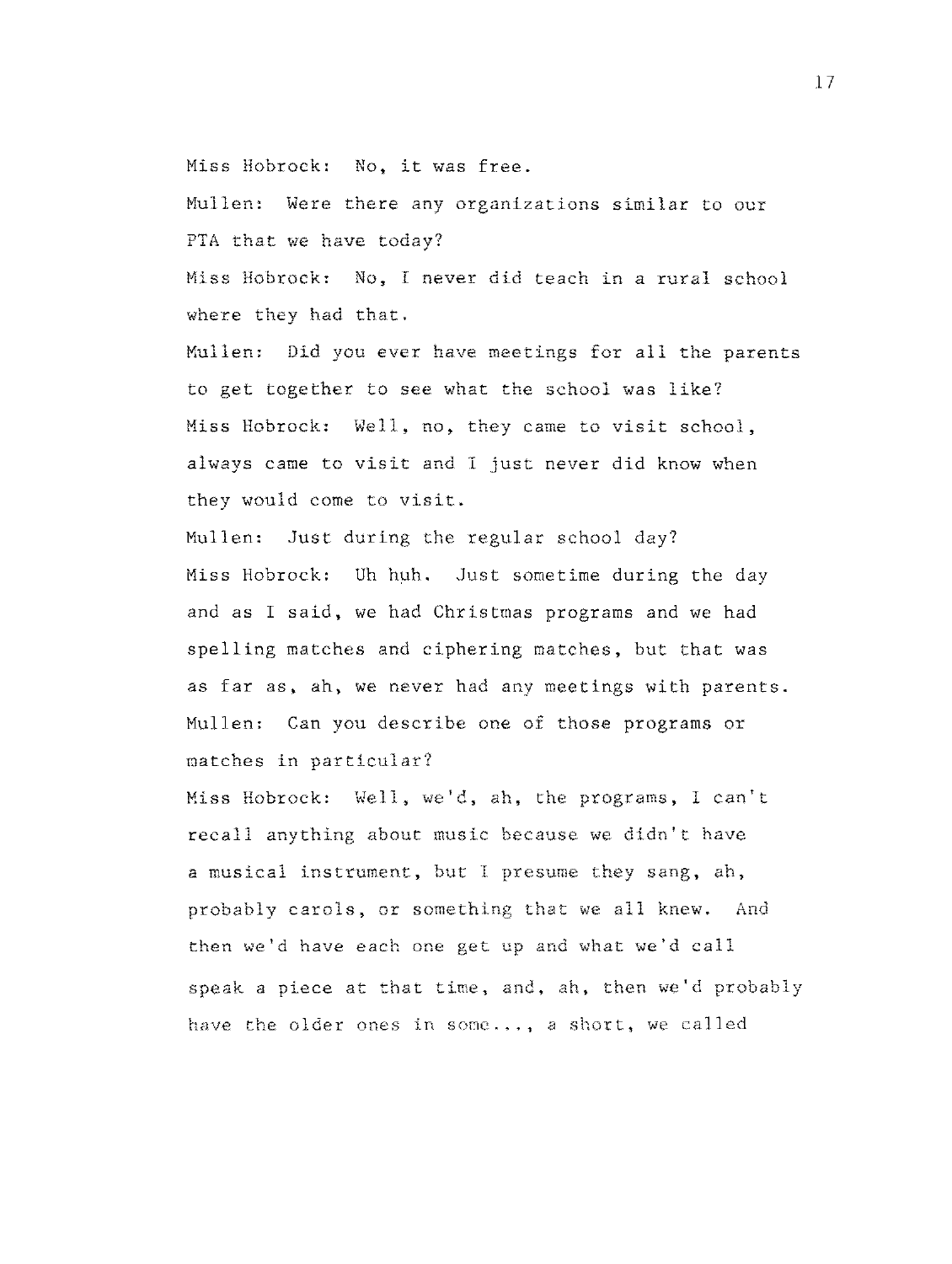Miss Hobrock: No, it was free.

Mullen: Were there any organizations similar to our PTA that we have today?

Miss Hobrock: No, I never did teach in a rural school where they had that.

Mullen: Did you ever have meetings for all the parents to get together to see what the school was like? Miss Hobrock: Well, no, they came to visit school, always came to visit and 1 just never did know when they would come to vis

Mullen: Just during the regular school day? Miss Hobrock: Uh huh. Just sometime during the day and as I said, we had Christmas programs and we had spelling matches and ciphering matches, but that was as far as, ah, we never had any meetings with parents. Mullen: Can you describe one of those programs or matches in particular?

Miss Hobrock: Well, we'd, ah, the programs, I can't recall anything about music because we didn't have a musical instrument, but I presume they sang, ah, probably carols, or something that we all knew. And then we'd have each one get up and what we'd call speak a piece at that time, and, ah, then we'd probably have the older ones in some..., a short, we called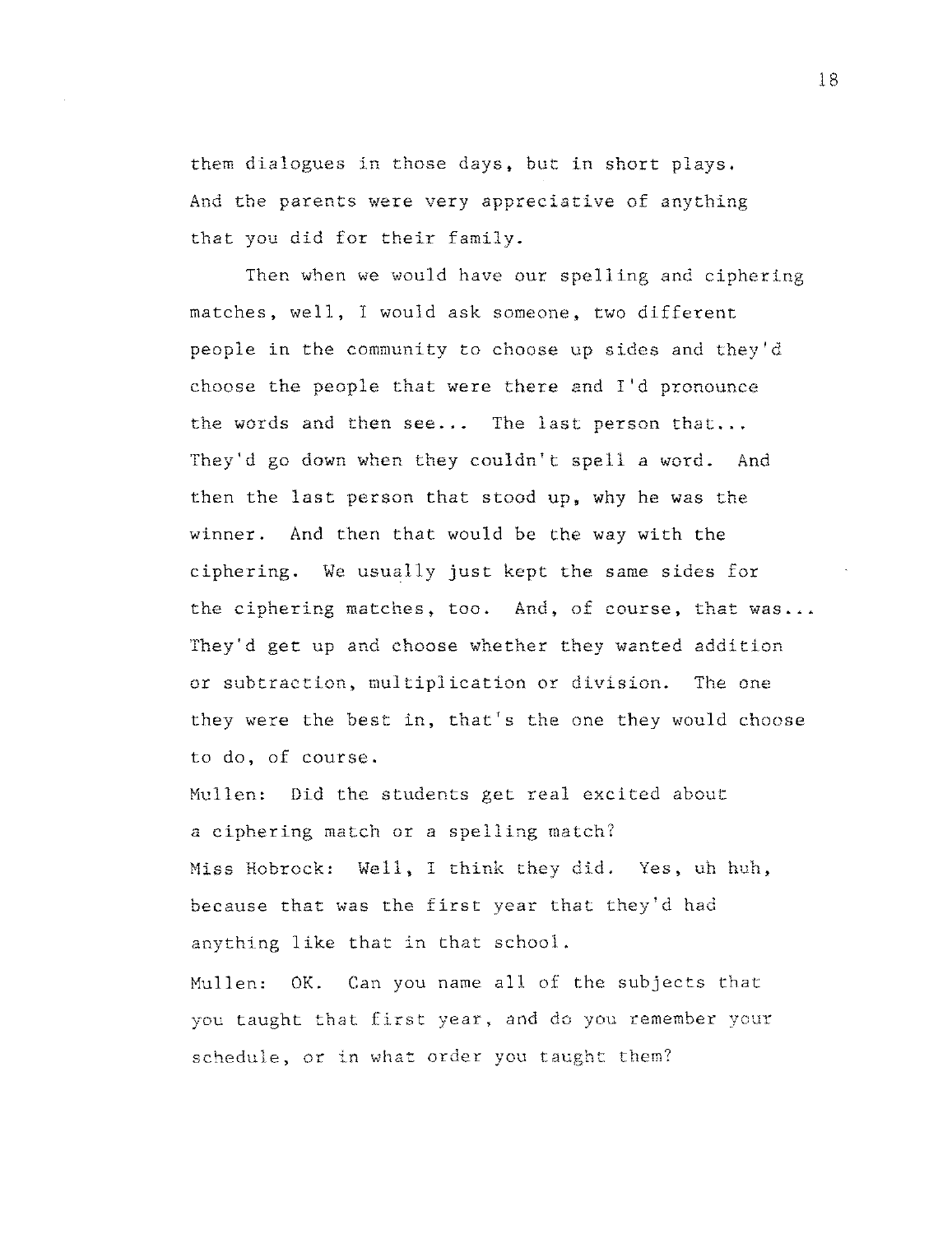them dialogues in those days, but in short plays. And the parents were very appreciative of anything that you did for their family.

Then when we would have our spelling and ciphering matches, well, I would ask someone, two different people in the community to choose up sides and they'd choose the people that were there and I'd pronounce the words and then  $see...$  The last person that... They'd go down when they couldn't spell a word. And then the last person that stood up, why he was the winner. And then that would be the way with the ciphering. We usually just kept the same sides for the ciphering matches, too. And, of course, that was... They'd get up and choose whether they wanted addition or subtraction, multiplication or division. The one they were the best in, that's the one they would choose to do, of course.

Mullen: Did the students get real excited about a ciphering match or a spelling match? Miss Habrock: Well, I think they did. Yes, uh huh, because that was the first year that they'd had anything like that in that school.

Mullen: OK. Can you name all of the subjects that you taught that first year, and do you remember schedule, or in what order you taught them?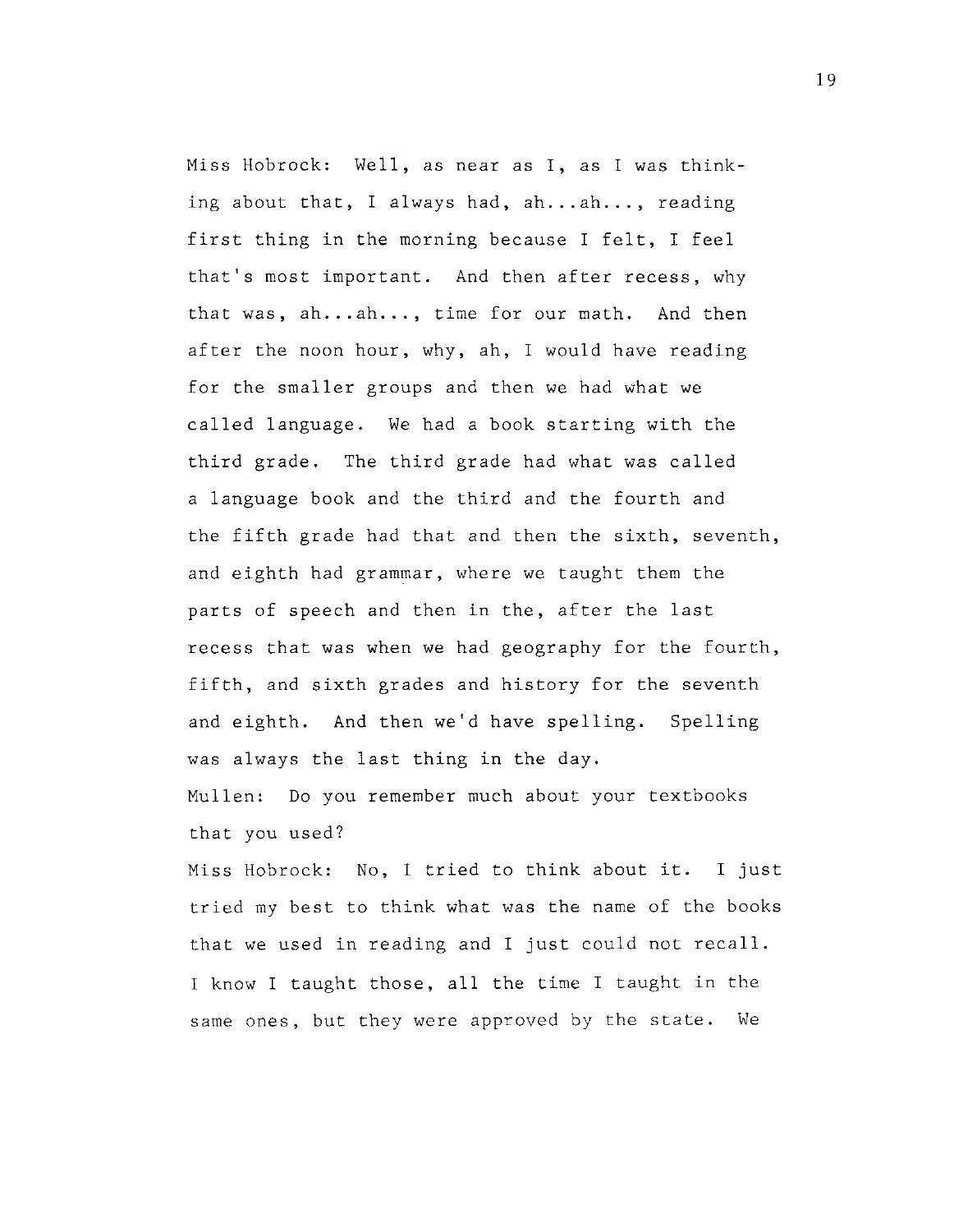Miss Hobrock: Well, as near as I, as I was thinking about that, I always had, ah...ah..., reading first thing in the morning because I felt, I feel that's most important. And then after recess, why that was,  $ah...ah...$ , time for our math. And then after the noon hour, why, ah, I would have reading for the smaller groups and then we had what we called language. We had a book starting with the third grade. The third grade had what was called a language book and the third and the fourth and the fifth grade had that and then the sixth, seventh, and eighth had grammar, where we taught them the parts of speech and then in the, after the last recess that was when we had geography for the fourth, fifth, and sixth grades and history for the seventh and eighth. And then we'd have spelling. Spelling was always the last thing in the day.

Mullen: Do you remember much about your textbooks that you used?

Miss Hobrock: No, I tried to think about it. I just tried my best to think what was the name of the books that we used in reading and I just could not recall. I know I taught those, all the time I taught in the same ones, but they were approved by the state. We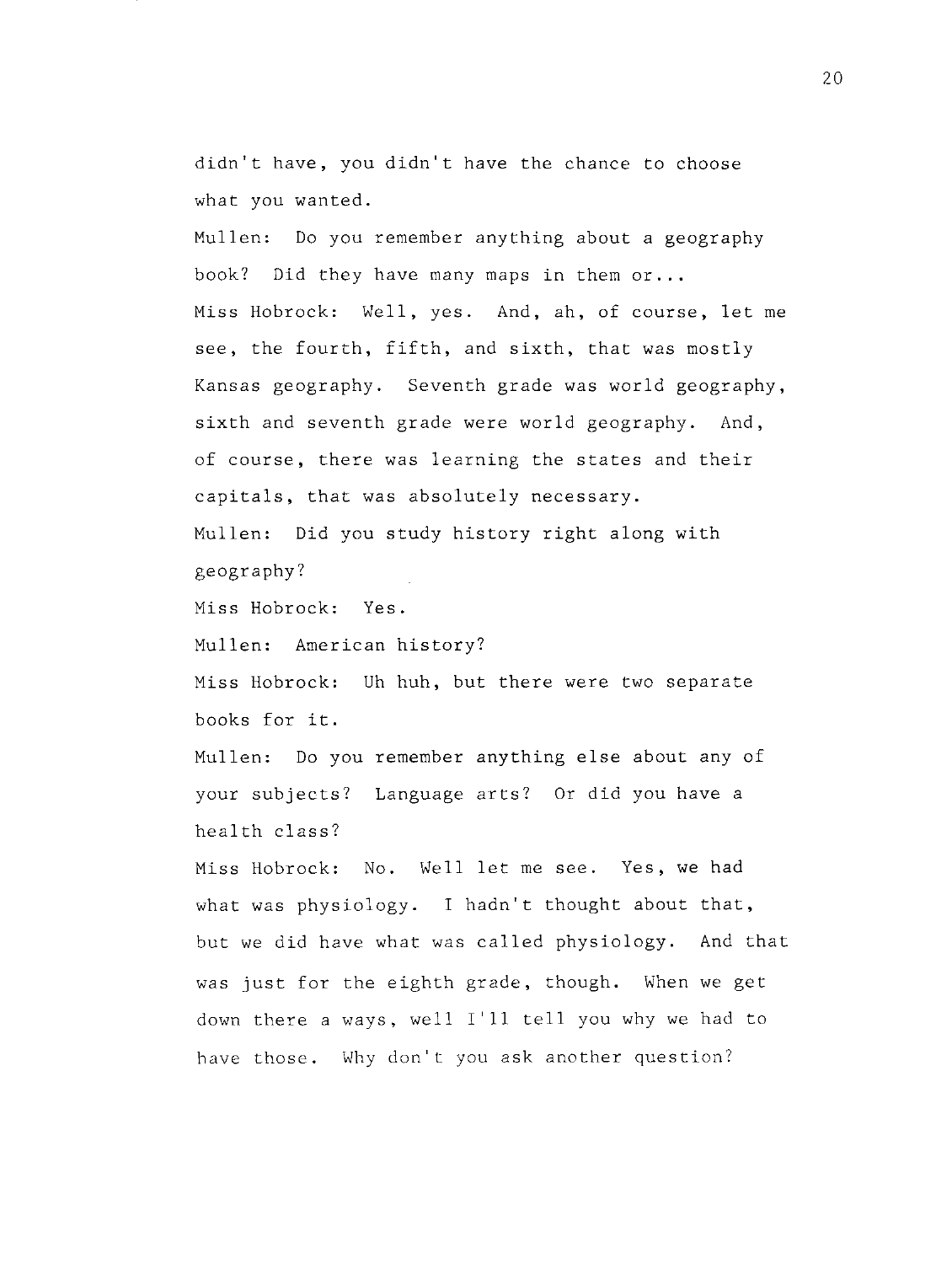didn't have, you didn't have the chance to choose what you wanted.

Mullen: Do you remember anything about a geography book? Did they have many maps in them or... Miss Habrock: Well, yes. And, ah, of course, let me see, the fourth, fifth, and sixth, that was mostly Kansas geography. Seventh grade was world geography, sixth and seventh grade were world geography. And, of course, there was learning the states and their capitals, that was absolutely necessary. Mullen: Did you study history right along with

geography?

Miss Habrock: Yes.

Mullen: American history?

Miss Hobrock: Uh huh, but there were two separate books for it.

Mullen: Do you remember anything else about any of your subjects? Language arts? Or did you have a health class?

Miss Habrock: No. Well let me see. Yes, we had what was physiology. I hadn't thought about that, but we did have what was called physiology. And that was just for the eighth grade, though. When we get down there a ways, well I'll tell you why we had to have those. Why don't you ask another question?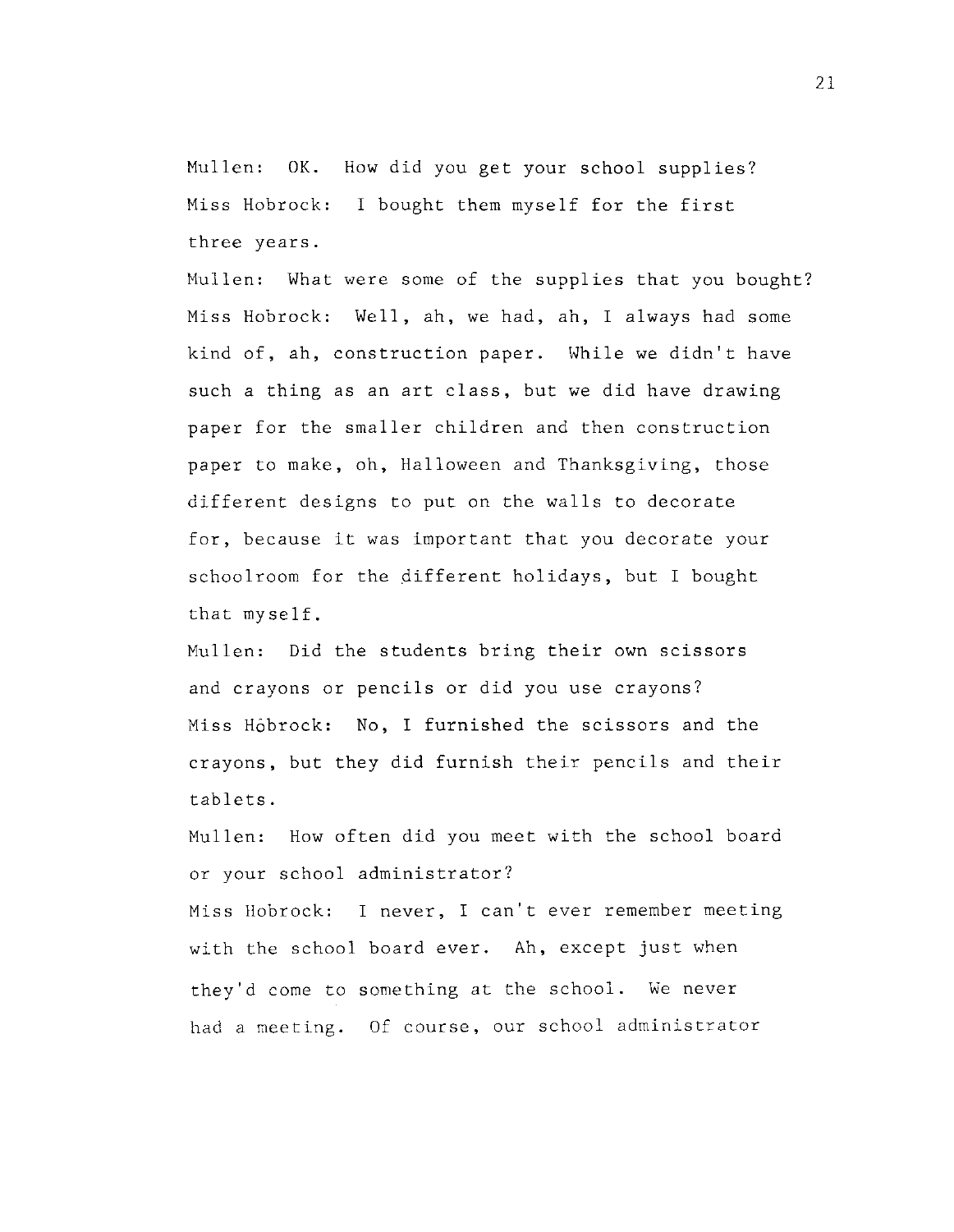Mullen: OK. How did you get your school supplies? Miss Habrock: I bought them myself for the first three years.

Mullen: What were some of the supplies that you bought? Miss Habrock: Well, ah, we had, ah, I always had some kind of, ah, construction paper. While we didn't have such a thing as an art class, but we did have drawing paper for the smaller children and then construction paper to make, oh, Halloween and Thanksgiving, those different designs to put on the walls to decorate for, because it was important that you decorate your schoolroom for the different holidays, but I bought that myself.

Mullen: Did the students bring their own scissors and crayons or pencils or did you use crayons? Miss Hobrock: No, I furnished the scissors and the crayons, but they did furnish their pencils and their tablets.

Mullen: How often did you meet with the school board or your school administrator?

Miss Hobrock: I never, I can't ever remember meeting with the school board ever. Ah, except just when they'd come to something at the school. We never had a meeting. Of course, our school administrator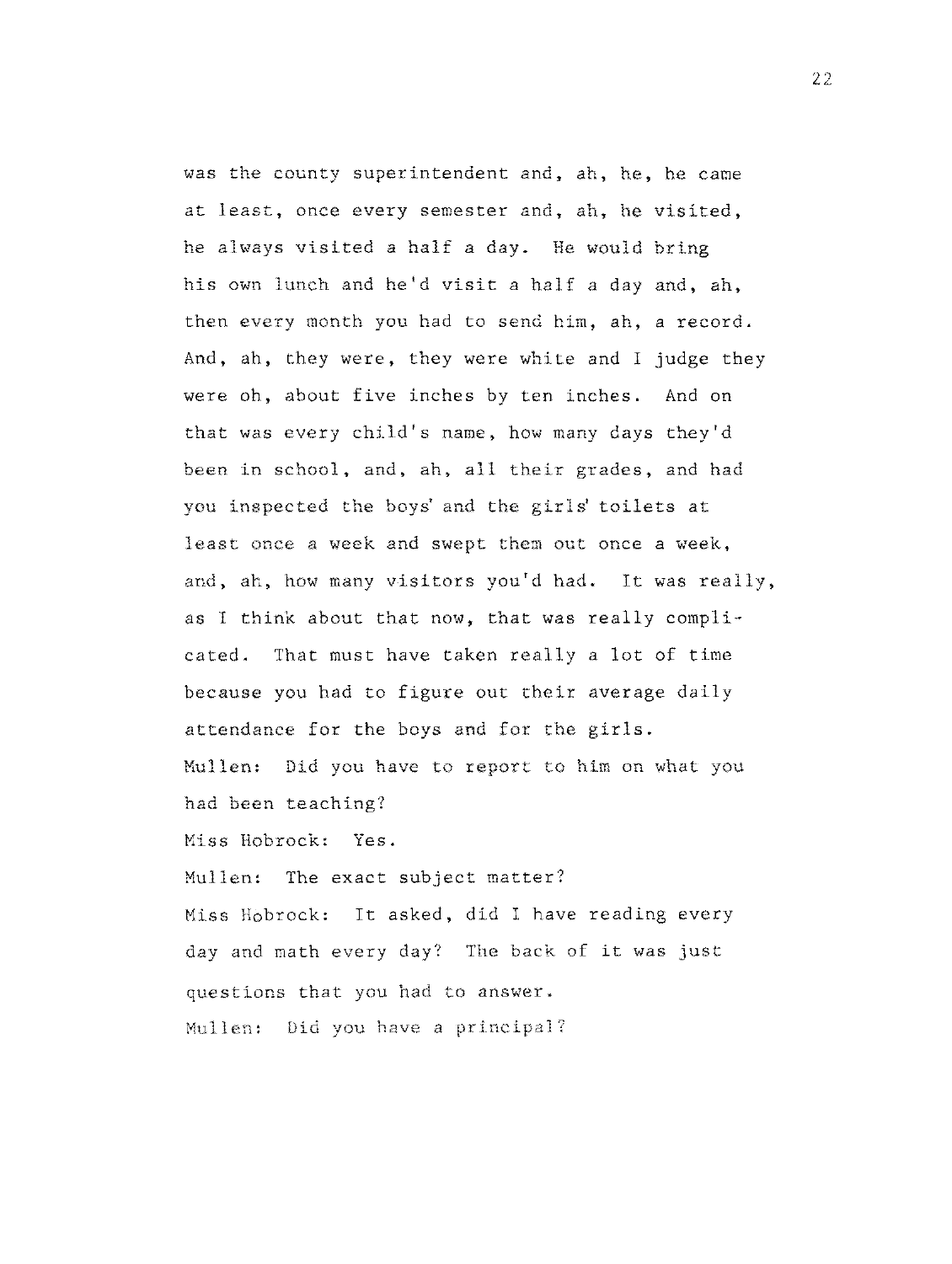was the county superintendent and, ah, he, he came at least, once every semester and, ah, he visited, he always visited a half a day. He would bring his own lunch and he'd visit a half *a* day and, ah, then every month you had to send him, ah, a record. And, ah, they were, they were white and I judge they were oh, about five inches by ten inches. And on that was every child's name, how many days they'd been in school, and, ah, all their grades, and had you inspected the boys' and the girls' toilets at least once a week and swept them out once a week, and, ah, how many visitors you'd had. It was really, as I think about that now, that was really complicated. That must have taken really a lot of time because you had to figure out their average daily attendance for the boys and for the girls. Mullen: Did you have to report to him on what you had been teaching? Miss Habrock: Yes. Mullen: The exact subject matter? Miss Hobrock: It asked, did I have reading every day and math every day? The back of it was just

questions that you had to answer. Mullen: Did you have a principal?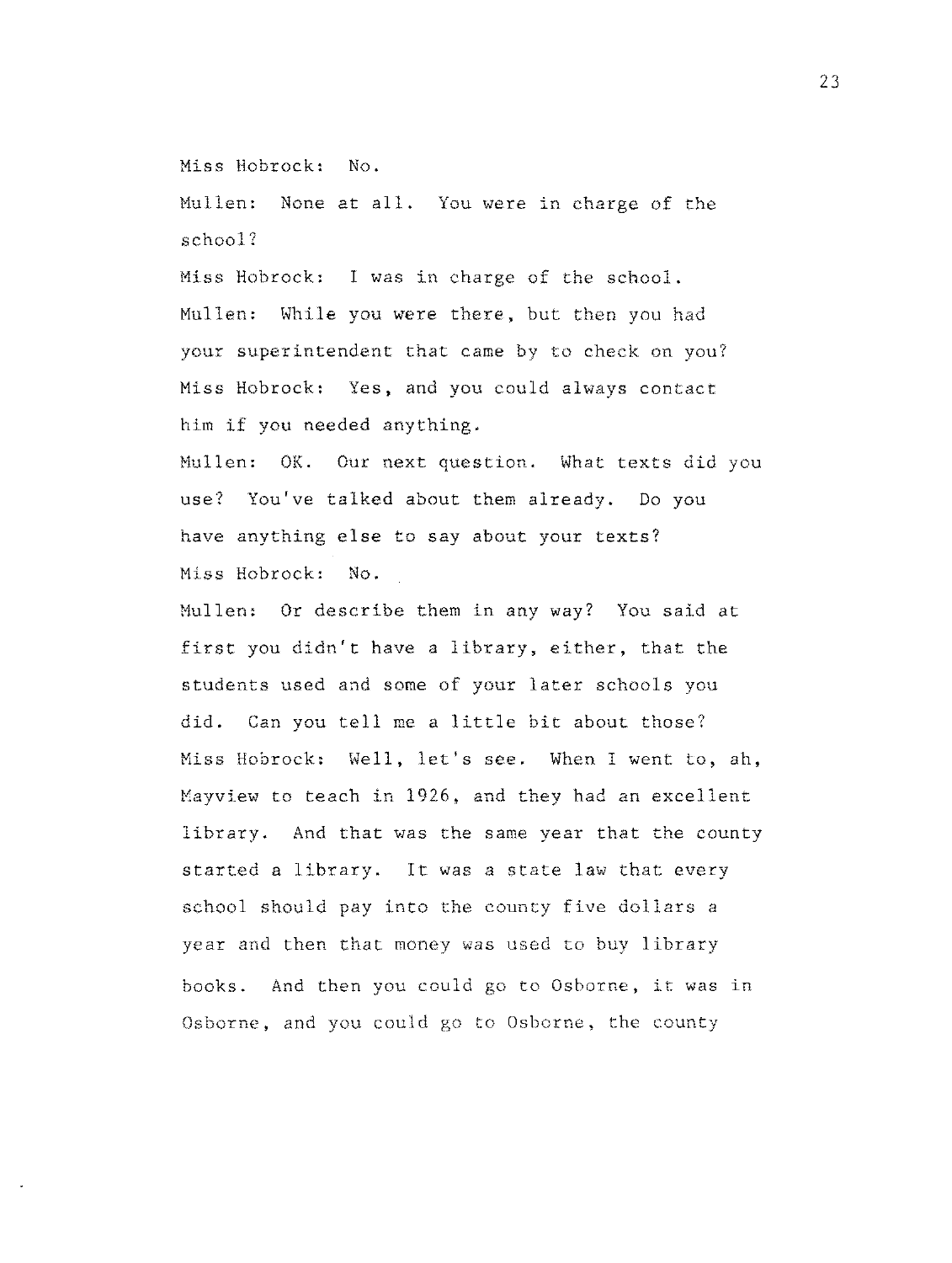Miss Hobrock: No.

Mullen: None at all. You were in charge of the school?

Miss Hobrock: I was in charge of the school. Mullen: While you were there, but then you had your superintendent that came by to check on you? Miss Habrock: Yes, and you could always contact him if you needed anything.

Mullen: OK. Our next question. What texts did you use? You've talked about them already. Do you have anything else to say about your texts? Miss Habrock: No.

Mullen: Or describe them in any way? You said at first you didn't have a library, either, that the students used and some of your later schools you did. Can you tell me a little bit about those? Miss Hobrock: Well, let's see. When I went to, ah, Mayview to teach in 1926, and they had an excellent library. And that was the same year that the county started a library. It was a state law that every school should pay into the county five dollars a year and then that money was used to buy library books. And then you could go to Osborne, it was in Osborne, and you could go to Osborne, the county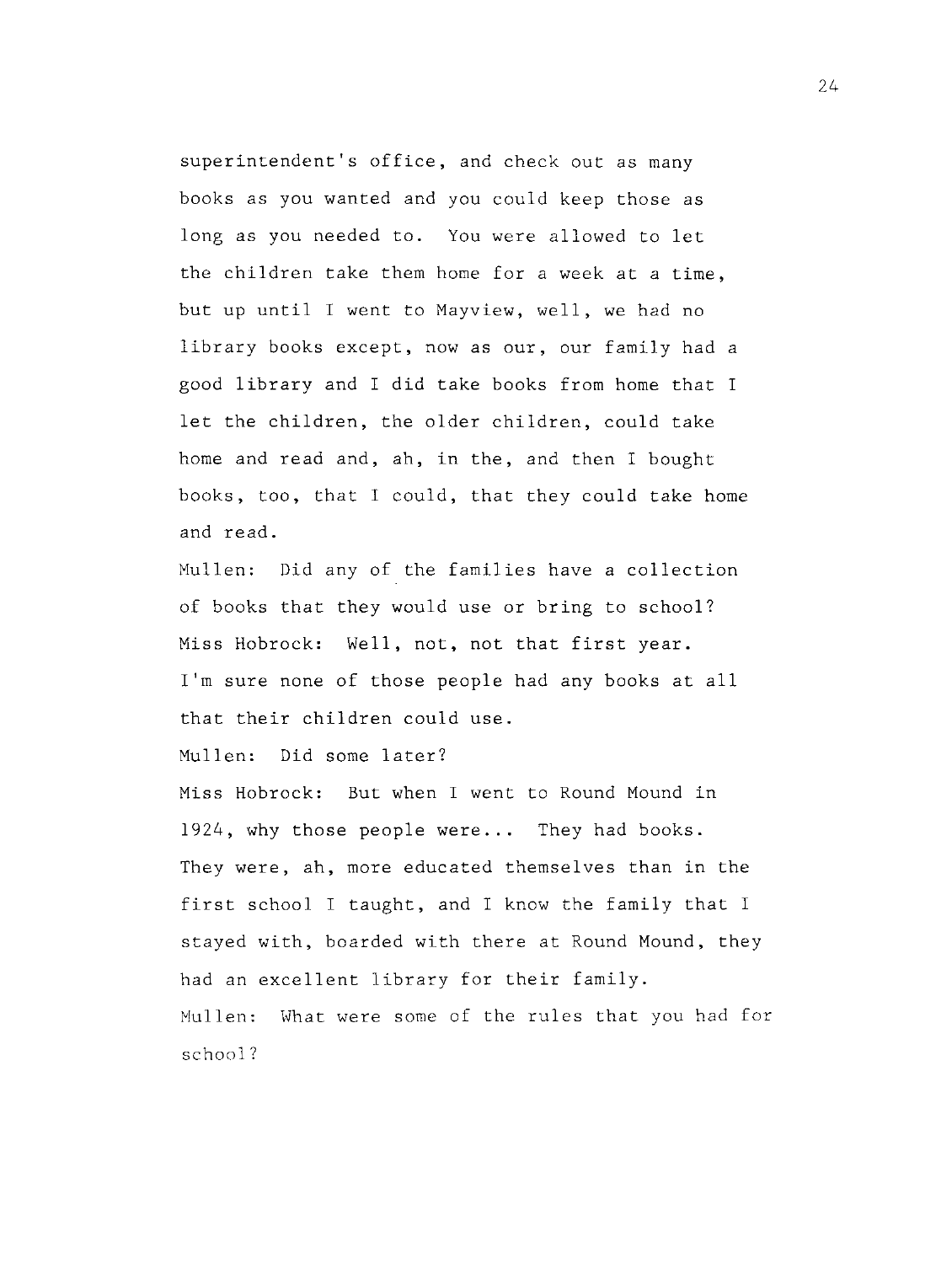superintendent's office, and check out as many books as you wanted and you could keep those as long as you needed to. You were allowed to let the children take them home for a week at a time, but up until I went to Mayview, well, we had no library books except, now as our, our family had a good library and I did take books from home that I let the children, the older children, could take home and read and, ah, in the, and then I bought books, too, that I could, that they could take home and read.

Mullen: Did any of the families have a collection of books that they would use or bring to school? Miss Hobrock: Well, not, not that first year. I'm sure none of those people had any books at all that their children could use.

Mullen: Did some later?

Miss Habrock: But when I went to Round Mound in 1924, why those people were... They had books. They were, ah, more educated themselves than in the first school I taught, and I know the family that I stayed with, boarded with there at Round Mound, they had an excellent library for their family. Mullen: What were some of the rules that you had for school?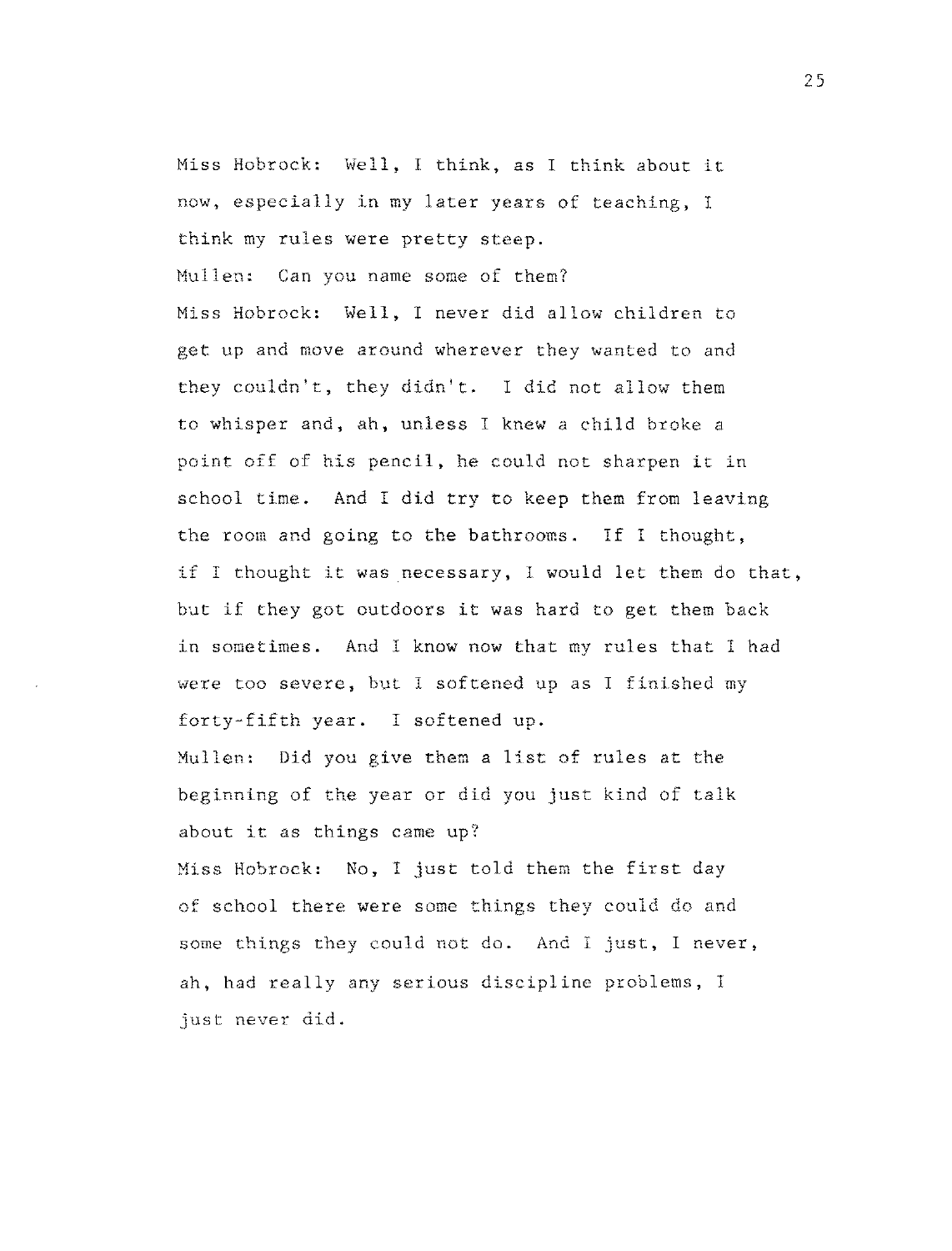Miss Habrock: Well, I think, as I think about it now, especially in my later years of teaching, I think my rules were pretty steep.

Mullen: Can you name some of them? Miss Habrock: Well, I never did allow children to get up and move around wherever they wanted to and they couldn't, they didn't. I did not allow them to whisper and, ah, unless I knew a child broke a point off of his pencil, he could not sharpen it in school time. And I did try to keep them from leaving the room and going to the bathrooms. If I thought, if I thought it was necessary, I would let them do that, but if they got outdoors it was hard to get them back in sometimes. And I know now that my rules that I had were too severe, but I softened up as I finished my forty-fifth year. I softened up.

Mullen: Did you give them a list of rules at the beginning of the year or did you just kind of talk about it as things came up?

Miss Hobrock: No, I just told them the first day of school there were some things they could do and some things they could not do. And I just, I never, ah, had really any serious discipline problems, I just never did.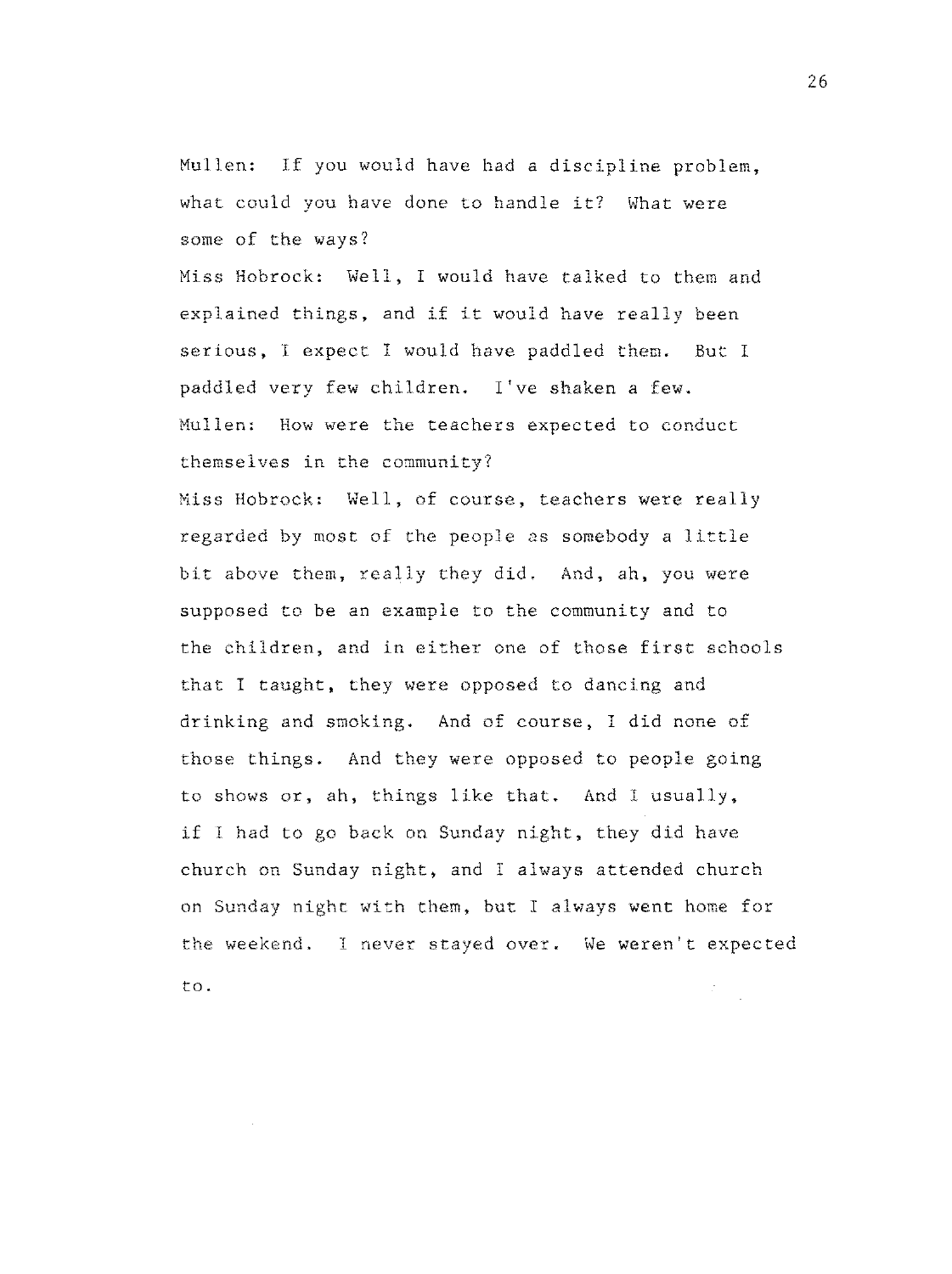Mullen: If you would have had a discipline problem, what could you have done to handle it? What were some of the ways?

Miss Hobrock: Well, I would have talked to them and explained things, and if it would have really been serious, I expect I would have paddled them. But <sup>I</sup> paddled very few children. I've shaken a few. Mullen: How were the teachers expected to conduct themselves in the community?

Miss Habrock: Well, of course, teachers were really regarded by most of the people as somebody a little bit above them, really they did. And, ah, you were supposed to be an example to the community and to the children, and in either one of those first schools that I taught, they were opposed to dancing and drinking and smoking. And of course, I did none of those things. And they were opposed to people going to shows or, ah, things like that. And I usually, if I had to go back on Sunday night, they did have church on Sunday night, and I always attended church on Sunday night with them, but I always went home for the weekend. I never stayed over. We weren't expected to.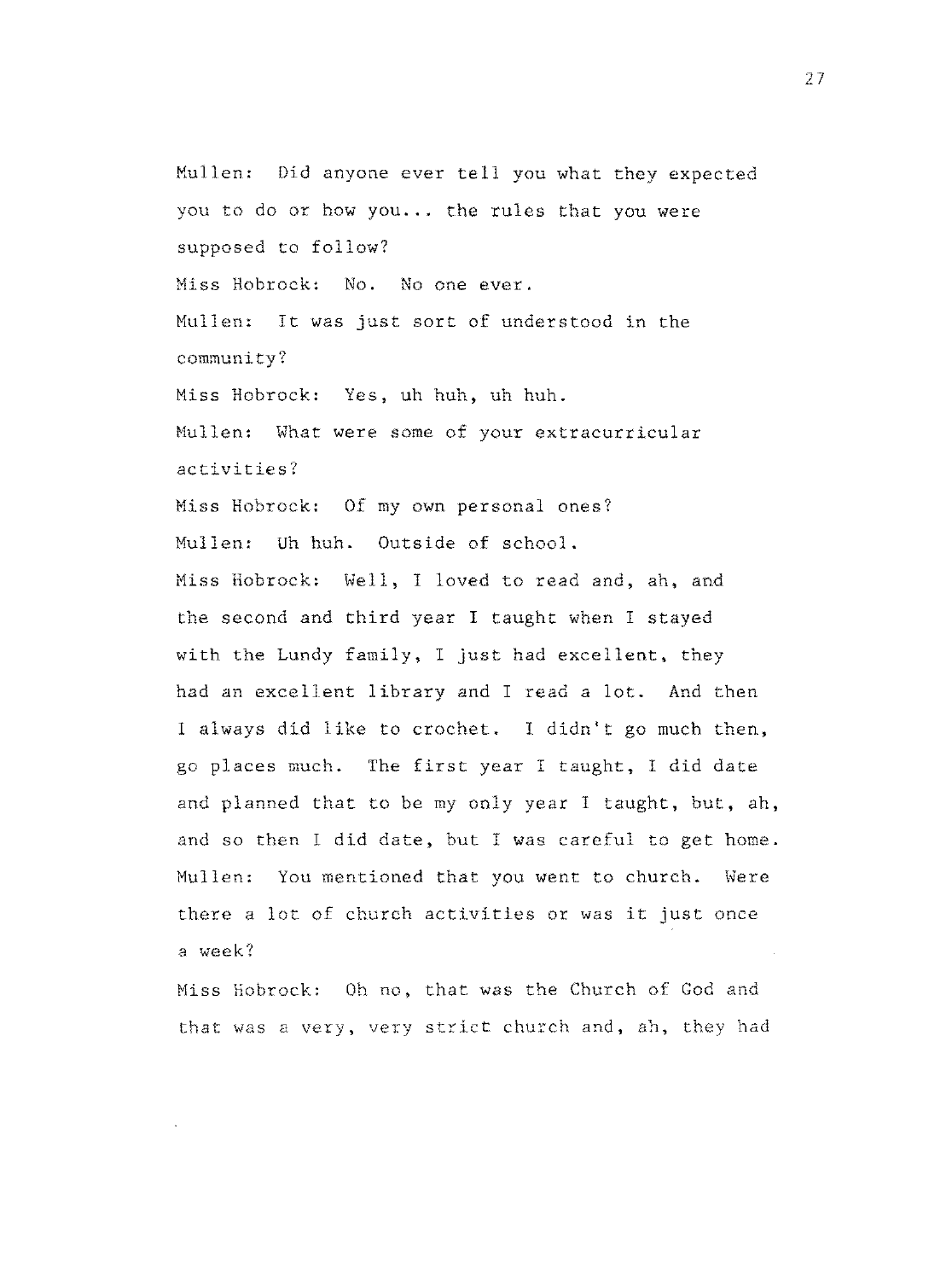Mullen: Did anyone ever tell you what they expected you to do or how you... the rules that you were supposed to follow? Miss Habrock: No. No one ever. Mullen: It was just sort of understood in the community? Miss Habrock: Yes, uh huh, uh huh. Mullen: What were some of your extracurricular activities? Miss Habrock: Of my own personal ones? Mullen: Uh huh. Outside of school. Miss Habrock: Well, I loved to read and, ah, and the second and third year I taught when I stayed with the Lundy family, I just had excellent, they had an excellent library and I read a lot. And then 1 always did like to crochet. I didn't go much then, go places much. The first year I taught, I did date and planned that to be my only year I taught, but, ah, and so then I did date, but I was careful to get home. Mullen: You mentioned that you went to church. Were there a lot of church activities or was it just once a week?

Miss Habrock: Oh no, that was the Church of God and that was a very, very strict church and, ah, they had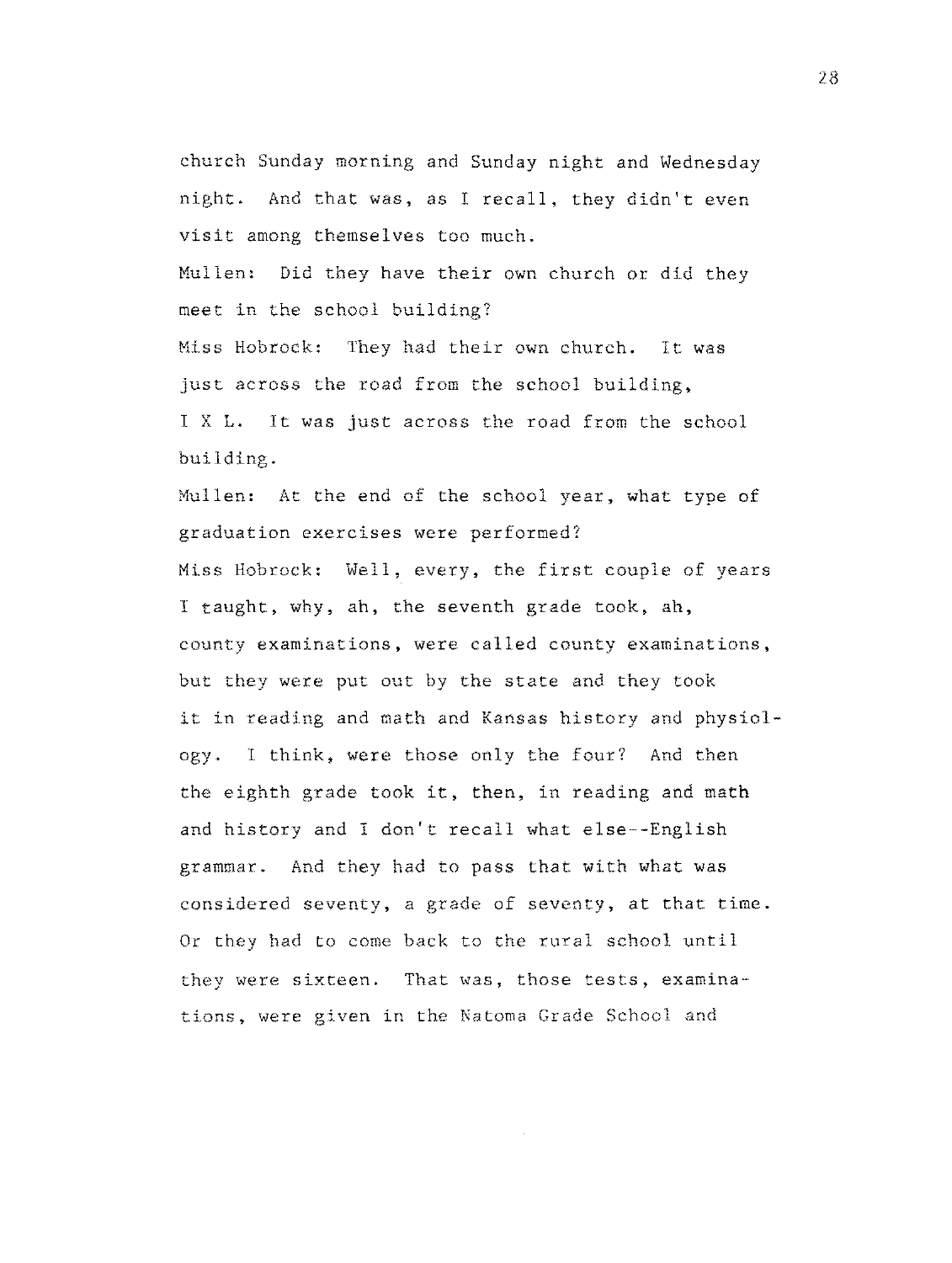church Sunday morning and Sunday night and Wednesday night. And that was, as I recall, they didn't even visit among themselves too much.

Mullen: Did they have their own church or did they meet in the school building?

Miss Hobrock: They had their own church. It was just across the road from the school building, IXL. It was just across the road from the school building.

Mullen: At the end of the school year, what type of graduation exercises were performed? Miss Hobrock: Well, every, the first couple of years I taught, why, ah, the seventh grade took, ah, county examinations, were called county examinations, but they were put out by the state and they took it in reading and math and Kansas history and physiology. I think, were those only the four? And then the eighth grade took it, then, in reading and math and history and I don't recall what else--English grammar. And they had to pass that with what was considered seventy, a grade of seventy, at that time. Or they had to come back to the rural school until they were sixteen. That was, those tests, examina tions, were given in the Natoma Grade School and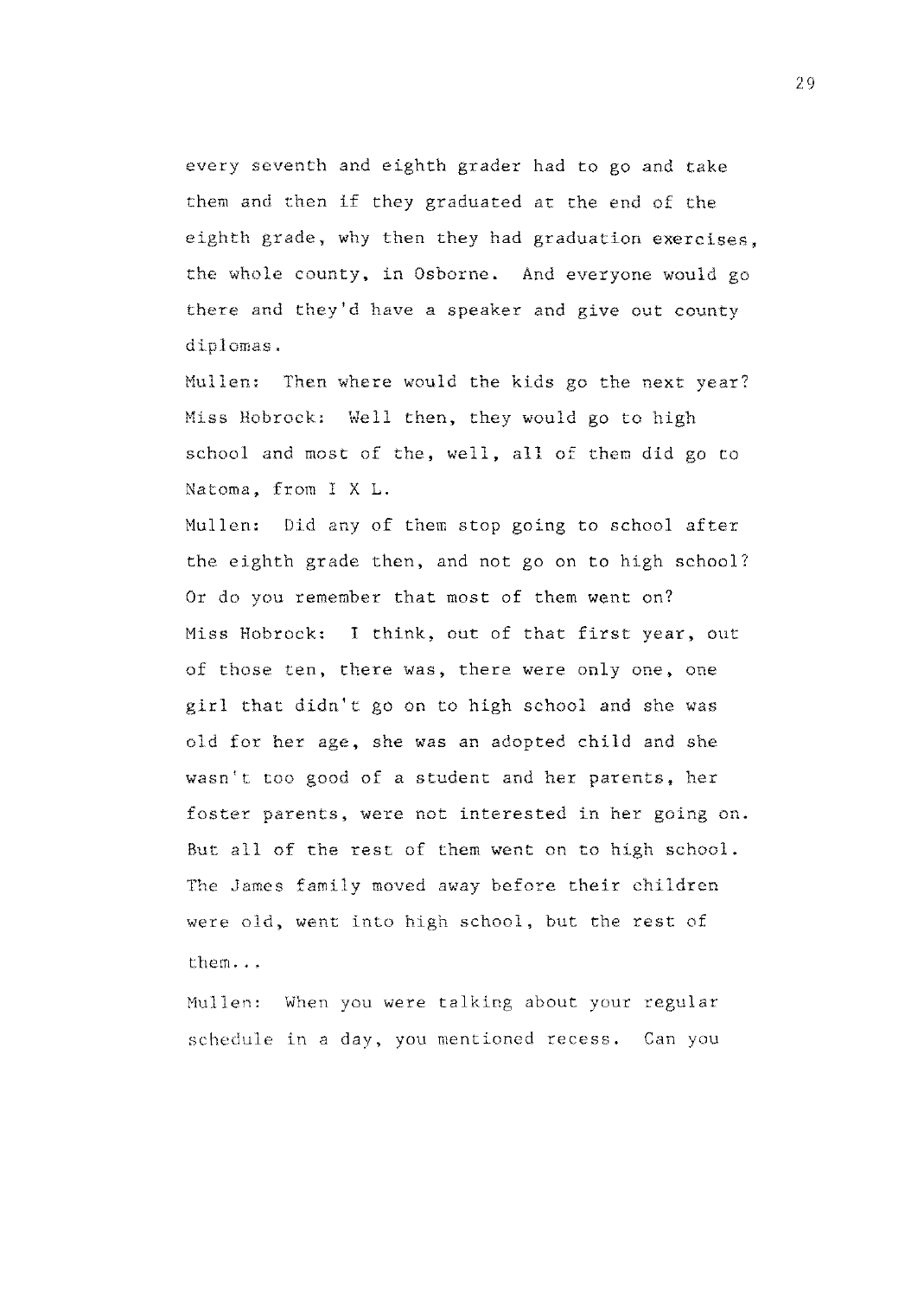every seventh and eighth grader had to go and take them and then if they graduated at the end of the eighth grade, why then they had graduation exercises. the whole county, in Osborne. And everyone would go there and they'd have a speaker and give out county diplomas.

Mullen: Then where would the kids go the next year? Miss Hobrock: Well then, they would go to high school and most of the, well, all of them did go to Natoma, from I X L.

Mullen: Did any of them stop going to school after the eighth grade then, and not go on to high school? Or do you remember that most of them went on? Miss Hobrock: I think, out of that first year, out of those ten, there was, there were only one, one girl that didn't go on to high school and she was old for her age, she was an adopted child and she wasn't too good of a student and her parents, her foster parents, were not interested in her going on. But all of the rest of them went on to high school. The James family moved away before their children were old, went into high school, but the rest of them ...

Mullen: When you were talking about your regular schedule in a day, you mentioned recess. Can you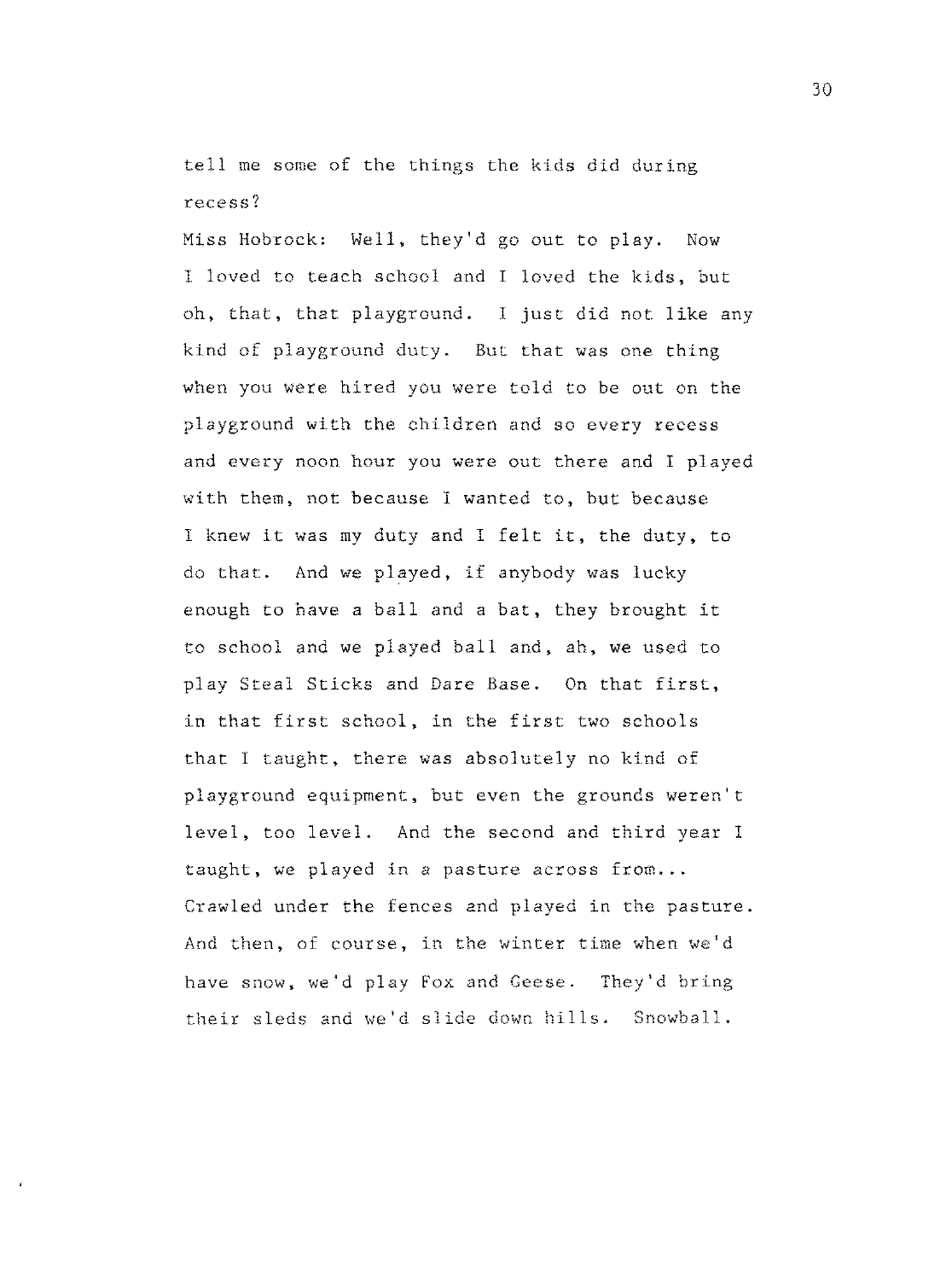tell me some of the things the kids did during recess?

Miss Habrock: Well, they'd go out to play. Now I loved to teach school and I loved the kids, but oh, that, that playground. I just did not like any kind of playground duty. But that was one thing when you were hired you were told to be out on the playground with the children and so every recess and every noon hour you were out there and I played with them, not because I wanted to, but because I knew it was my duty and I felt it, the duty, to do that. And we played, if anybody was lucky enough to have a ball and a bat, they brought it to school and we played ball and, ah, we used to play Steal Sticks and Dare Base. On that first, in that first school, in the first two schools that I taught, there was absolutely no kind of playground equipment, but even the grounds weren't level, too level. And the second and third year I taught, we played in a pasture across from... Crawled under the fences and played in the pasture. And then, of course, in the winter time when we'd have snow, we'd play Fox and Geese. They'd bring their sleds and we'd slide down hills. Snowball.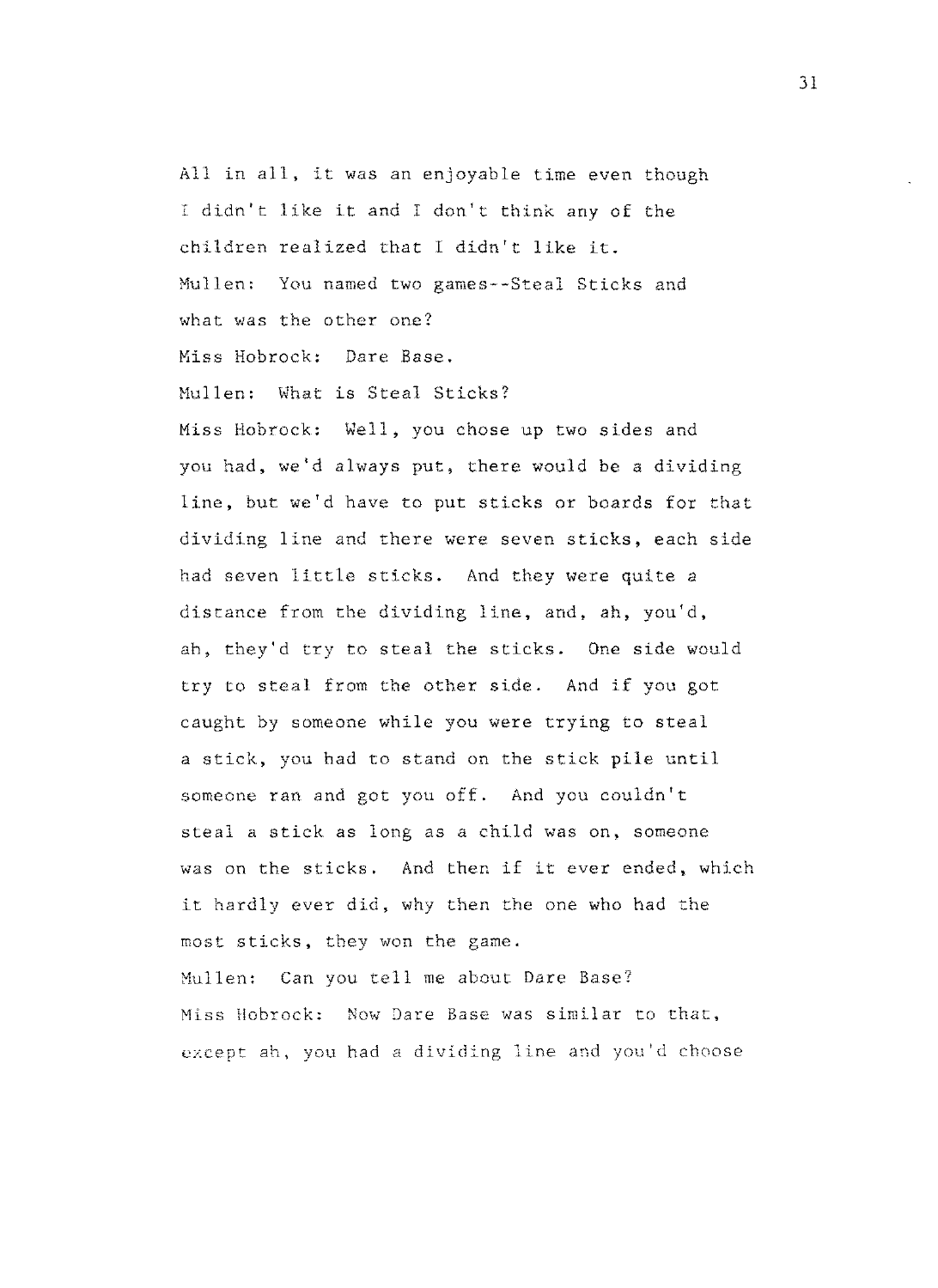All in all, it was an enjoyable time even though I didn't like it and I don't think any of the children realized that I didn't like it. Mullen: You named two games--Steal Sticks and what **was** the other one? Miss Hobrock: Dare Base. Mullen: What is Steal Sticks? Miss Hobrock: Well, you chose up two sides and you had, we'd always put, there would be a dividing line, but we'd have to put sticks or boards for that dividing line and there were seven sticks, each side had seven little sticks. And they were quite a distance from the dividing line, and, ah, you'd, ah, they'd try to steal the sticks. One side would try to steal from the other side. And if you got caught by someone while you were trying to steal

steal a stick as long as a child was on, someone was on the sticks. And then if it ever ended, which it hardly ever did, why then the one who had the most sticks, they won the game. Mullen: Can you tell me about Dare Base? Miss llobrock: Now Dare Base was similar to that,

a stick, you had to stand on the stick pile until

someone ran and got you off. And you couldn't

except ah, you had a dividing line and you'd choose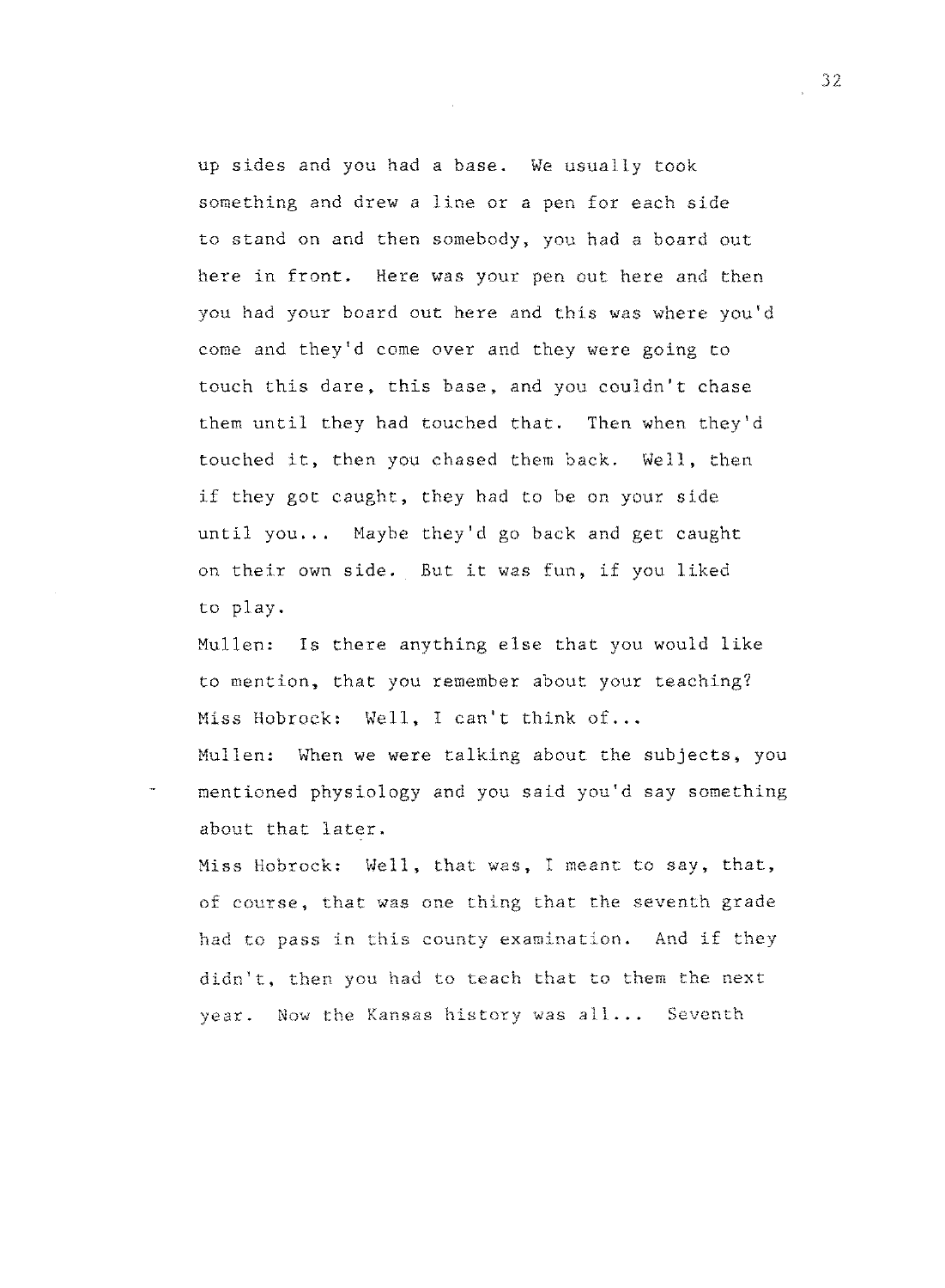up sides and you had a base. We usually took something and drew a line or a pen for each side to stand on and then somebody, you had a board out here in front. Here was your pen out here and then you had your board out here and this was where you'd come and they'd come over and they were going to touch this dare, this base, and you couldn't chase them until they had touched that. Then when they'd touched it, then you chased them back. Well, then if they got caught, they had to be on your side until you... Maybe they'd go back and get caught on their own side. But it was fun, if you liked to play.

Mullen: Is there anything else that you would like to mention, that you remember about your teaching? Miss Hobrock: Well, I can't think of...

Mullen: When we were talking about the subjects, you mentioned physiology and you said you'd say something about that later.

Miss Hobrock: Well, that was, I meant to say, that, of course, that was one thing that the seventh grade had to pass in this county examination. And if they didn't, then you had to teach that to them the next year. Now the Kansas history was all... Seventh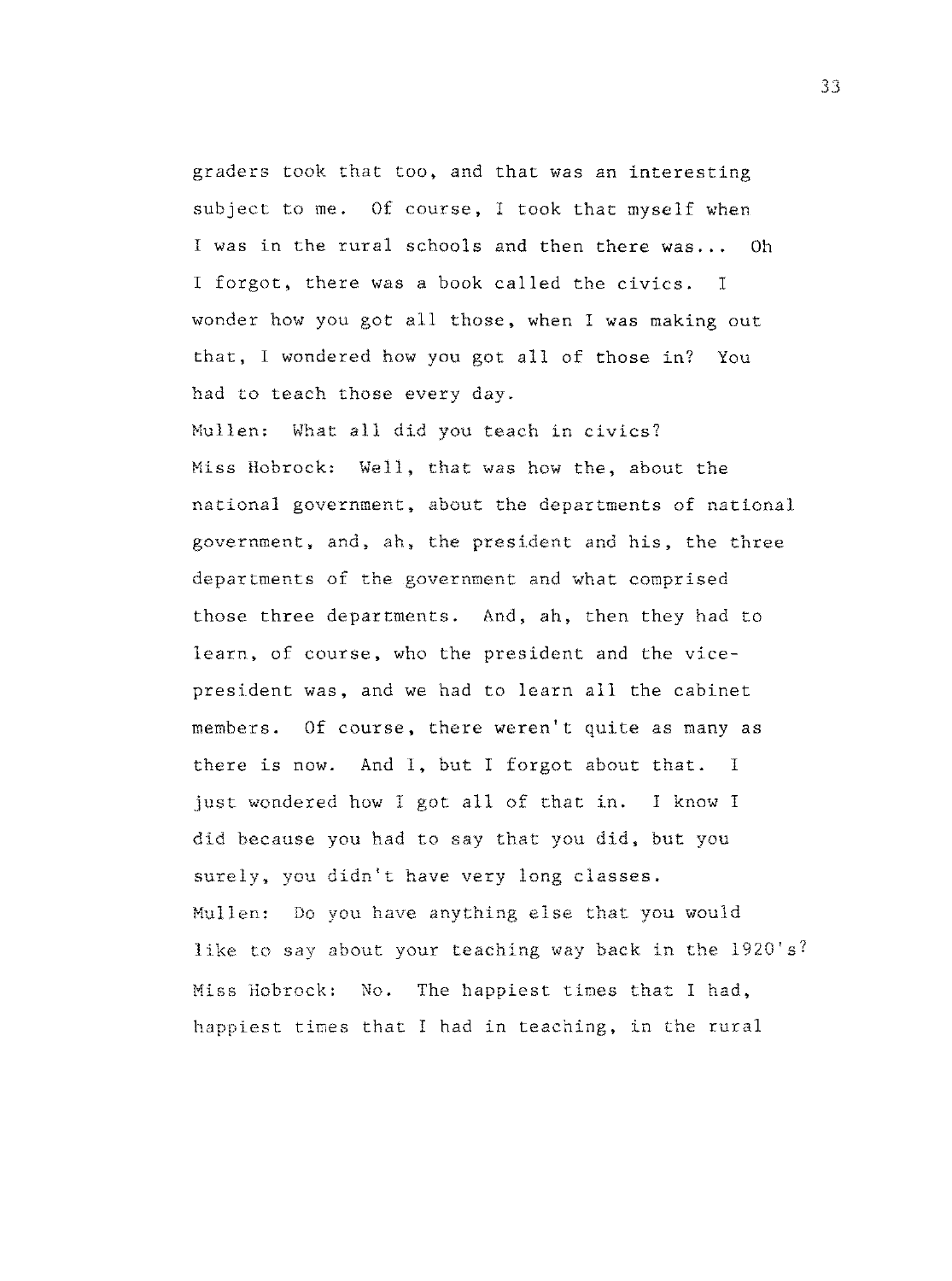graders took that too, and that was an interesting subject to me. Of course, I took that myself when I was in the rural schools and then there was ... Oh I forgot, there was a book called the civics. I wonder how you got all those, when I was making out that, I wondered how you got all of those in? You had to teach those every day.

Mullen: What all did you teach in civics? Miss Hobrock: Well, that was how the, about the national government, about the departments of national government, and, ah, the president and his, the three departments of the government and what comprised those three departments. And, ah, then they had to learn, of course, who the president and the vicepresident was, and we had to learn all the cabinet members. Of course, there weren't quite as many as there is now. And 1, but I forgot about that. I just wondered how I got all of that in. I know I did because you had to say that you did, but you surely, you didn't have very long classes. Mullen: Do you have anything else that you would like to say about your teaching way back in the 1920's? Miss Hobrock: No. The happiest times that I had, happiest times that I had in teaching, in the rural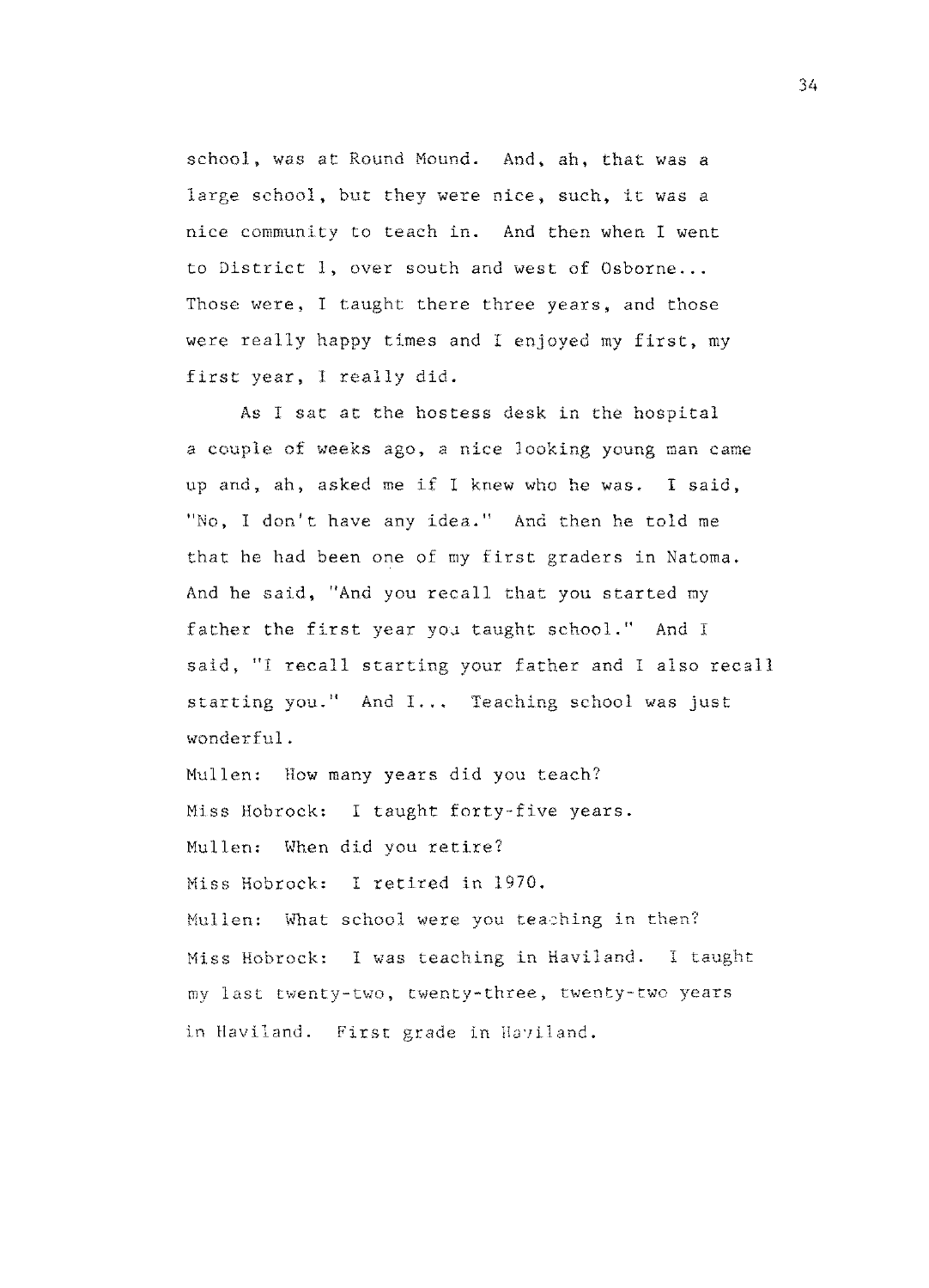school, was at Round Mound. And, ah, that was a large school, but they were nice, such, it was a nice community to teach in. And then when I went to District 1, over south and west of Osborne... Those were, I taught there three years, and those were really happy times and I enjoyed my first, my first year, 1 really did.

As I sat at the hostess desk in the hospital a couple of weeks ago, a nice looking young man came up and, ah, asked me if I knew who he was. I said, "No, I don't have any idea." And then he told me that he had been one of my first graders in Natoma. And he said, "And you recall that you started my father the first year you taught school." And I said, "I recall starting your father and I also recall starting you." And I... Teaching school was just wonderful.

Mullen: How many years did you teach? Miss Hobrock: I taught forty-five years. Mullen: When did you retire? Miss Hobrock: I retired in 1970. Mullen: What school were you teaching in then? Miss Hobrock: I was teaching in Haviland. I taught my last twenty-two, twenty-three, twenty-two years in Haviland. First grade in Haviland.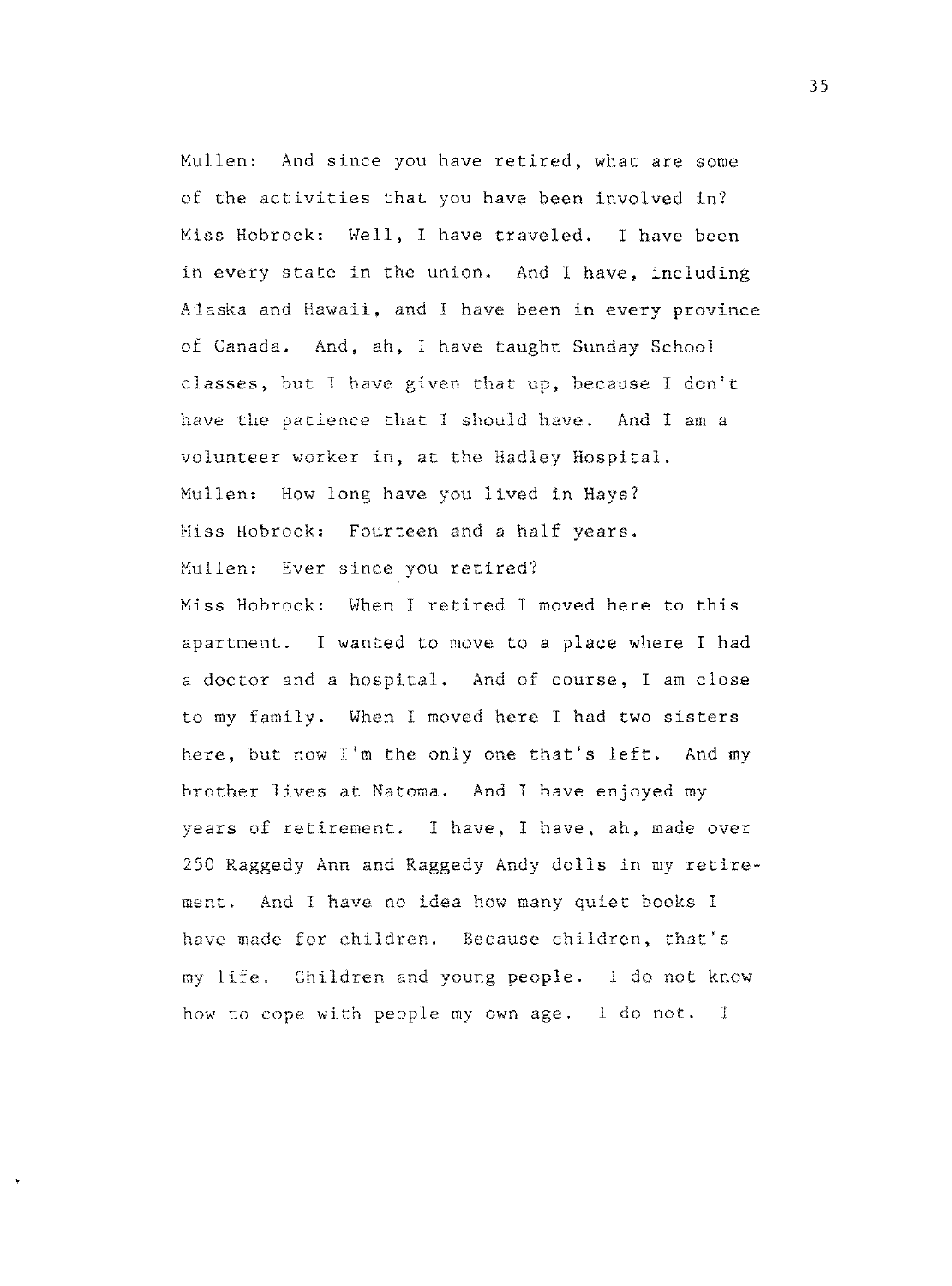Mullen: And since you have retired, what are some of the activities that you have been involved in? Miss Hobrock: Well, I have traveled. I have been in every state in the union. And I have, including Alaska and Hawaii, and I have been in every province of Canada. And, ah, I have taught Sunday School classes, but I have given that up, because I don't have the patience that I should have. And I am a volunteer worker in, at the Hadley Hospital. Mullen: How long have you lived in Hays? Miss Hobrock: Fourteen and a half years. Mullen: Ever since you retired? Miss Habrock: When I retired I moved here to this apartment. I wanted to move to a place where I had a doctor and a hospital. And of course, I am close to my family. When I moved here I had two sisters here, but now I'm the only one that's left. And my brother lives at Natoma. And I have enjoyed my years of retirement. I have, I have, ah, made over 250 Raggedy Ann and Raggedy Andy dolls in my retirement. And I have no idea how many quiet books I have made for children. Because children, that's my life. Children and young people. I do not know how to cope with people my own age. I do not. I